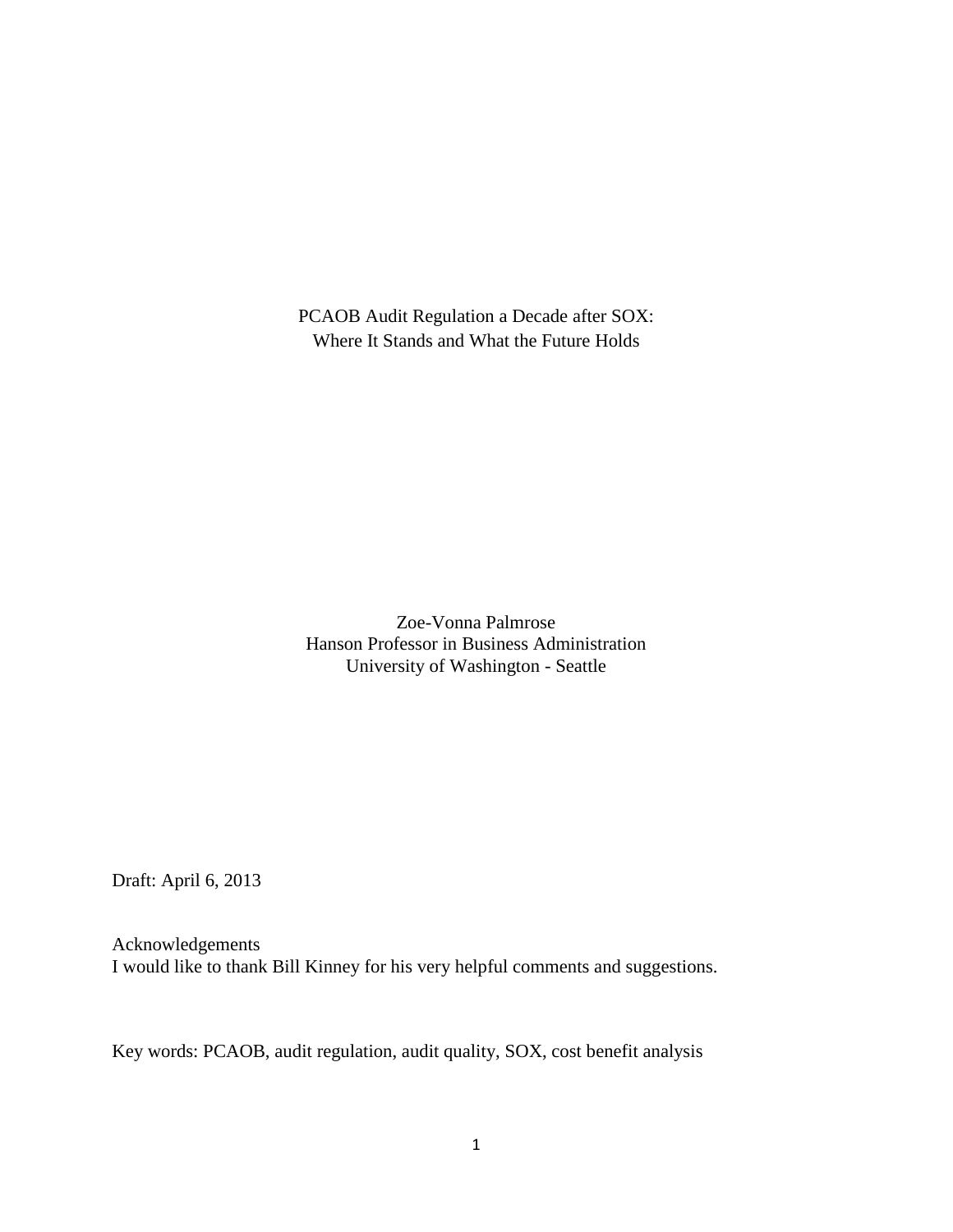PCAOB Audit Regulation a Decade after SOX: Where It Stands and What the Future Holds

Zoe-Vonna Palmrose Hanson Professor in Business Administration University of Washington - Seattle

Draft: April 6, 2013

Acknowledgements I would like to thank Bill Kinney for his very helpful comments and suggestions.

Key words: PCAOB, audit regulation, audit quality, SOX, cost benefit analysis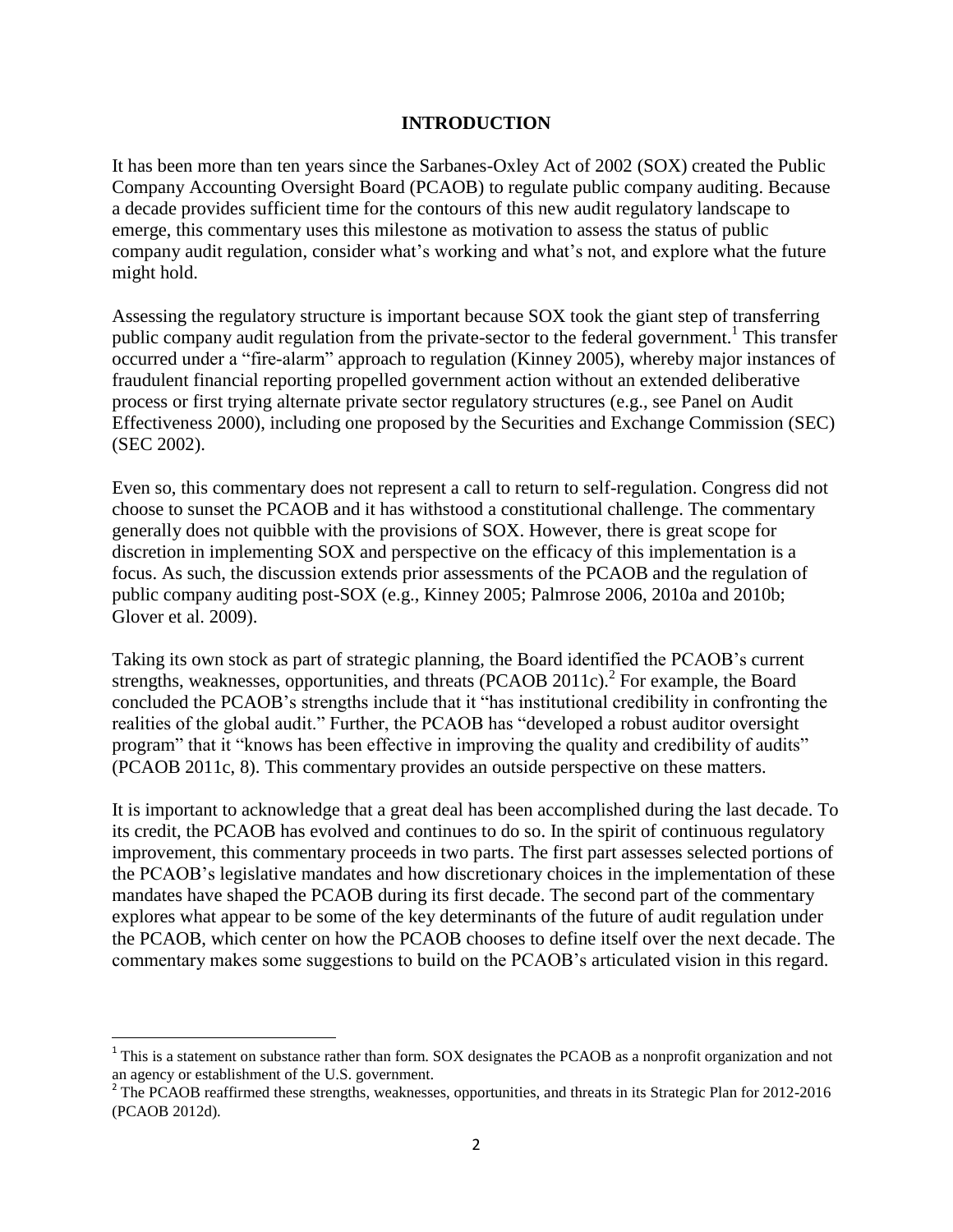#### **INTRODUCTION**

It has been more than ten years since the Sarbanes-Oxley Act of 2002 (SOX) created the Public Company Accounting Oversight Board (PCAOB) to regulate public company auditing. Because a decade provides sufficient time for the contours of this new audit regulatory landscape to emerge, this commentary uses this milestone as motivation to assess the status of public company audit regulation, consider what"s working and what"s not, and explore what the future might hold.

Assessing the regulatory structure is important because SOX took the giant step of transferring public company audit regulation from the private-sector to the federal government.<sup>1</sup> This transfer occurred under a "fire-alarm" approach to regulation (Kinney 2005), whereby major instances of fraudulent financial reporting propelled government action without an extended deliberative process or first trying alternate private sector regulatory structures (e.g., see Panel on Audit Effectiveness 2000), including one proposed by the Securities and Exchange Commission (SEC) (SEC 2002).

Even so, this commentary does not represent a call to return to self-regulation. Congress did not choose to sunset the PCAOB and it has withstood a constitutional challenge. The commentary generally does not quibble with the provisions of SOX. However, there is great scope for discretion in implementing SOX and perspective on the efficacy of this implementation is a focus. As such, the discussion extends prior assessments of the PCAOB and the regulation of public company auditing post-SOX (e.g., Kinney 2005; Palmrose 2006, 2010a and 2010b; Glover et al. 2009).

Taking its own stock as part of strategic planning, the Board identified the PCAOB"s current strengths, weaknesses, opportunities, and threats (PCAOB 2011c). 2 For example, the Board concluded the PCAOB"s strengths include that it "has institutional credibility in confronting the realities of the global audit." Further, the PCAOB has "developed a robust auditor oversight program" that it "knows has been effective in improving the quality and credibility of audits" (PCAOB 2011c, 8). This commentary provides an outside perspective on these matters.

It is important to acknowledge that a great deal has been accomplished during the last decade. To its credit, the PCAOB has evolved and continues to do so. In the spirit of continuous regulatory improvement, this commentary proceeds in two parts. The first part assesses selected portions of the PCAOB"s legislative mandates and how discretionary choices in the implementation of these mandates have shaped the PCAOB during its first decade. The second part of the commentary explores what appear to be some of the key determinants of the future of audit regulation under the PCAOB, which center on how the PCAOB chooses to define itself over the next decade. The commentary makes some suggestions to build on the PCAOB"s articulated vision in this regard.

 $\overline{\phantom{a}}$ 

 $1$ <sup>1</sup> This is a statement on substance rather than form. SOX designates the PCAOB as a nonprofit organization and not an agency or establishment of the U.S. government.

<sup>&</sup>lt;sup>2</sup> The PCAOB reaffirmed these strengths, weaknesses, opportunities, and threats in its Strategic Plan for 2012-2016 (PCAOB 2012d).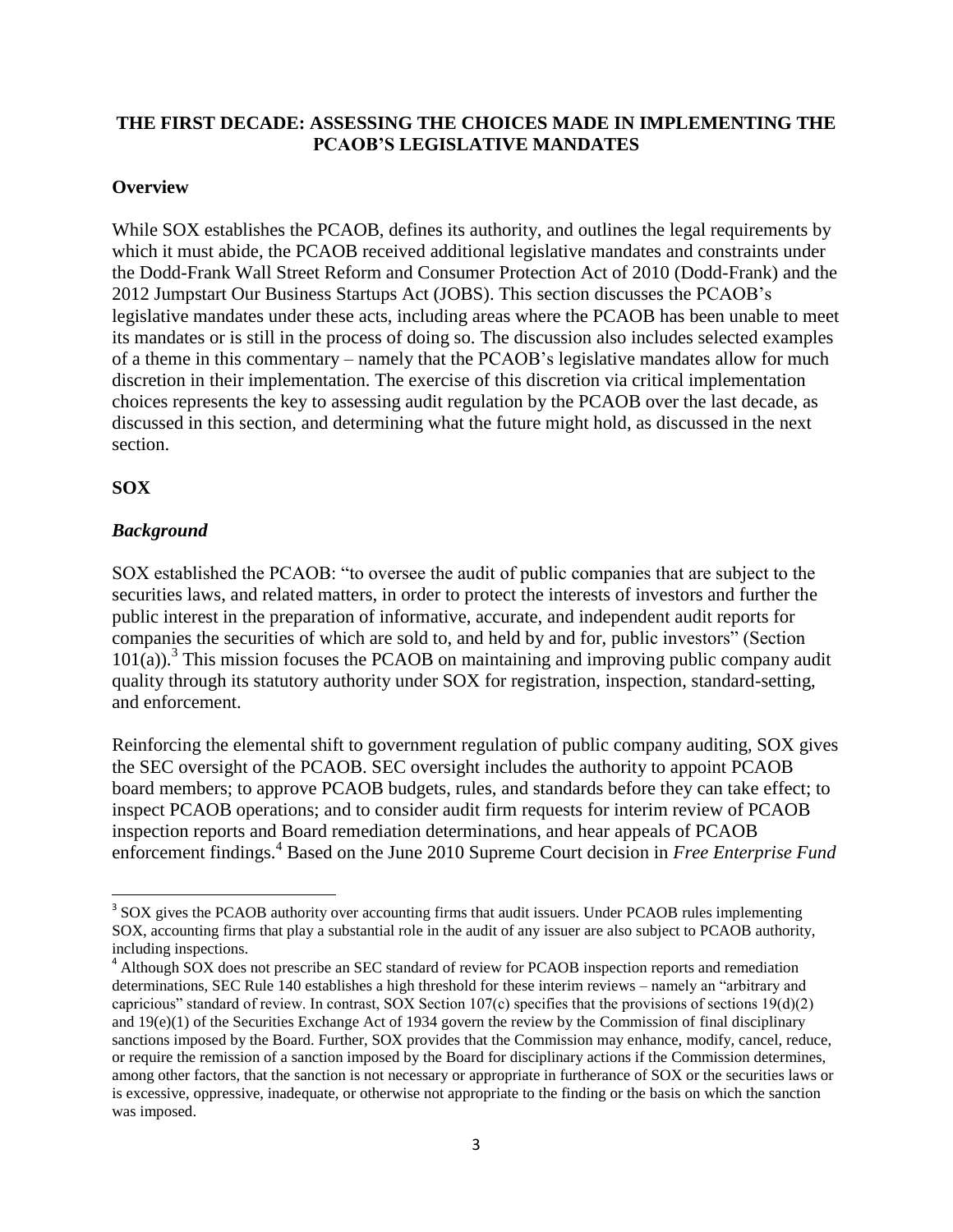#### **THE FIRST DECADE: ASSESSING THE CHOICES MADE IN IMPLEMENTING THE PCAOB'S LEGISLATIVE MANDATES**

#### **Overview**

While SOX establishes the PCAOB, defines its authority, and outlines the legal requirements by which it must abide, the PCAOB received additional legislative mandates and constraints under the Dodd-Frank Wall Street Reform and Consumer Protection Act of 2010 (Dodd-Frank) and the 2012 Jumpstart Our Business Startups Act (JOBS). This section discusses the PCAOB"s legislative mandates under these acts, including areas where the PCAOB has been unable to meet its mandates or is still in the process of doing so. The discussion also includes selected examples of a theme in this commentary – namely that the PCAOB"s legislative mandates allow for much discretion in their implementation. The exercise of this discretion via critical implementation choices represents the key to assessing audit regulation by the PCAOB over the last decade, as discussed in this section, and determining what the future might hold, as discussed in the next section.

#### **SOX**

l

#### *Background*

SOX established the PCAOB: "to oversee the audit of public companies that are subject to the securities laws, and related matters, in order to protect the interests of investors and further the public interest in the preparation of informative, accurate, and independent audit reports for companies the securities of which are sold to, and held by and for, public investors" (Section  $101(a)$ .<sup>3</sup> This mission focuses the PCAOB on maintaining and improving public company audit quality through its statutory authority under SOX for registration, inspection, standard-setting, and enforcement.

Reinforcing the elemental shift to government regulation of public company auditing, SOX gives the SEC oversight of the PCAOB. SEC oversight includes the authority to appoint PCAOB board members; to approve PCAOB budgets, rules, and standards before they can take effect; to inspect PCAOB operations; and to consider audit firm requests for interim review of PCAOB inspection reports and Board remediation determinations, and hear appeals of PCAOB enforcement findings.<sup>4</sup> Based on the June 2010 Supreme Court decision in *Free Enterprise Fund* 

<sup>&</sup>lt;sup>3</sup> SOX gives the PCAOB authority over accounting firms that audit issuers. Under PCAOB rules implementing SOX, accounting firms that play a substantial role in the audit of any issuer are also subject to PCAOB authority, including inspections.

<sup>&</sup>lt;sup>4</sup> Although SOX does not prescribe an SEC standard of review for PCAOB inspection reports and remediation determinations, SEC Rule 140 establishes a high threshold for these interim reviews – namely an "arbitrary and capricious" standard of review. In contrast, SOX Section 107(c) specifies that the provisions of sections 19(d)(2) and 19(e)(1) of the Securities Exchange Act of 1934 govern the review by the Commission of final disciplinary sanctions imposed by the Board. Further, SOX provides that the Commission may enhance, modify, cancel, reduce, or require the remission of a sanction imposed by the Board for disciplinary actions if the Commission determines, among other factors, that the sanction is not necessary or appropriate in furtherance of SOX or the securities laws or is excessive, oppressive, inadequate, or otherwise not appropriate to the finding or the basis on which the sanction was imposed.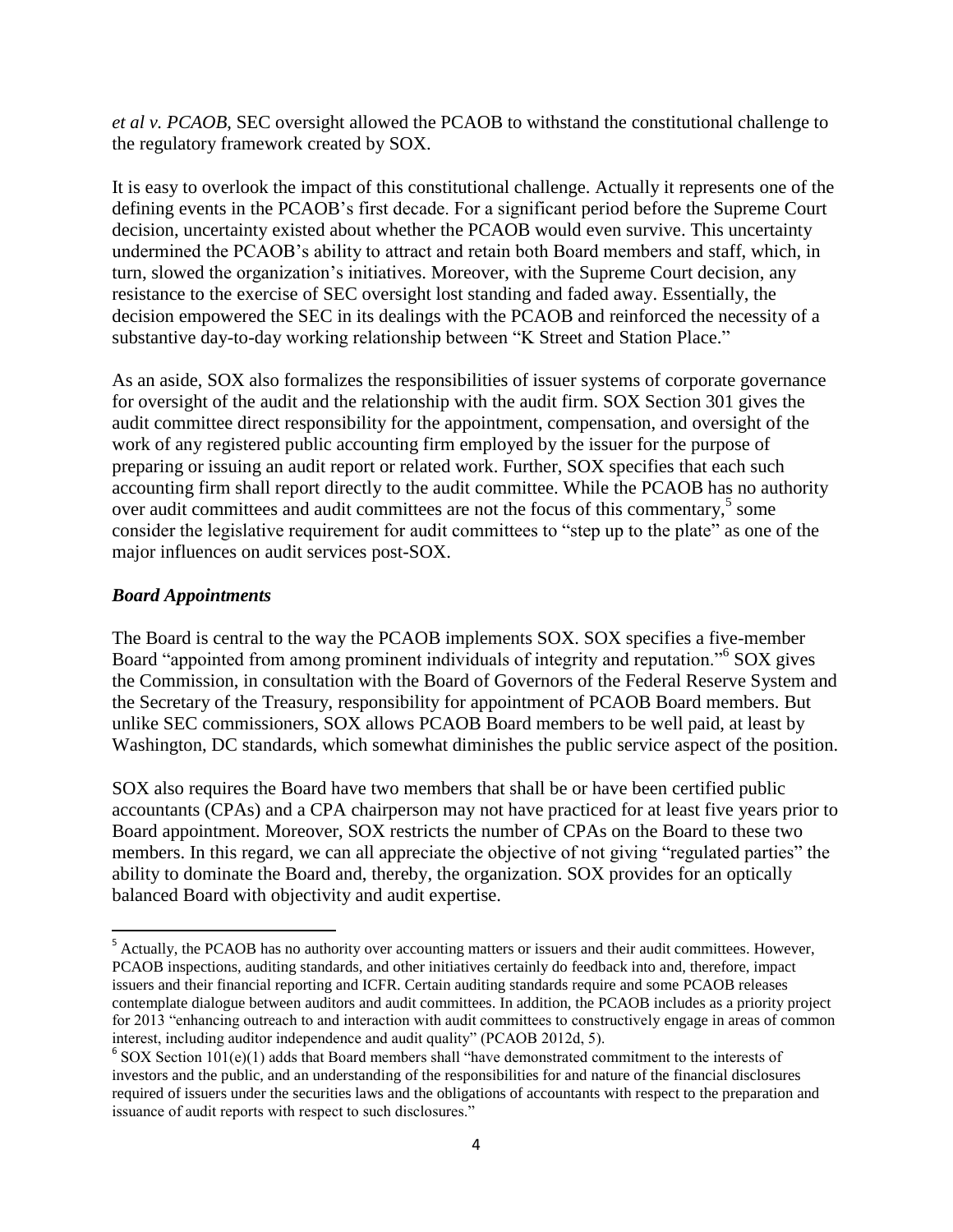*et al v. PCAOB*, SEC oversight allowed the PCAOB to withstand the constitutional challenge to the regulatory framework created by SOX.

It is easy to overlook the impact of this constitutional challenge. Actually it represents one of the defining events in the PCAOB"s first decade. For a significant period before the Supreme Court decision, uncertainty existed about whether the PCAOB would even survive. This uncertainty undermined the PCAOB"s ability to attract and retain both Board members and staff, which, in turn, slowed the organization's initiatives. Moreover, with the Supreme Court decision, any resistance to the exercise of SEC oversight lost standing and faded away. Essentially, the decision empowered the SEC in its dealings with the PCAOB and reinforced the necessity of a substantive day-to-day working relationship between "K Street and Station Place."

As an aside, SOX also formalizes the responsibilities of issuer systems of corporate governance for oversight of the audit and the relationship with the audit firm. SOX Section 301 gives the audit committee direct responsibility for the appointment, compensation, and oversight of the work of any registered public accounting firm employed by the issuer for the purpose of preparing or issuing an audit report or related work. Further, SOX specifies that each such accounting firm shall report directly to the audit committee. While the PCAOB has no authority over audit committees and audit committees are not the focus of this commentary,<sup>5</sup> some consider the legislative requirement for audit committees to "step up to the plate" as one of the major influences on audit services post-SOX.

#### *Board Appointments*

 $\overline{\phantom{a}}$ 

The Board is central to the way the PCAOB implements SOX. SOX specifies a five-member Board "appointed from among prominent individuals of integrity and reputation."<sup>6</sup> SOX gives the Commission, in consultation with the Board of Governors of the Federal Reserve System and the Secretary of the Treasury, responsibility for appointment of PCAOB Board members. But unlike SEC commissioners, SOX allows PCAOB Board members to be well paid, at least by Washington, DC standards, which somewhat diminishes the public service aspect of the position.

SOX also requires the Board have two members that shall be or have been certified public accountants (CPAs) and a CPA chairperson may not have practiced for at least five years prior to Board appointment. Moreover, SOX restricts the number of CPAs on the Board to these two members. In this regard, we can all appreciate the objective of not giving "regulated parties" the ability to dominate the Board and, thereby, the organization. SOX provides for an optically balanced Board with objectivity and audit expertise.

<sup>&</sup>lt;sup>5</sup> Actually, the PCAOB has no authority over accounting matters or issuers and their audit committees. However, PCAOB inspections, auditing standards, and other initiatives certainly do feedback into and, therefore, impact issuers and their financial reporting and ICFR. Certain auditing standards require and some PCAOB releases contemplate dialogue between auditors and audit committees. In addition, the PCAOB includes as a priority project for 2013 "enhancing outreach to and interaction with audit committees to constructively engage in areas of common interest, including auditor independence and audit quality" (PCAOB 2012d, 5).

 $6$  SOX Section 101(e)(1) adds that Board members shall "have demonstrated commitment to the interests of investors and the public, and an understanding of the responsibilities for and nature of the financial disclosures required of issuers under the securities laws and the obligations of accountants with respect to the preparation and issuance of audit reports with respect to such disclosures."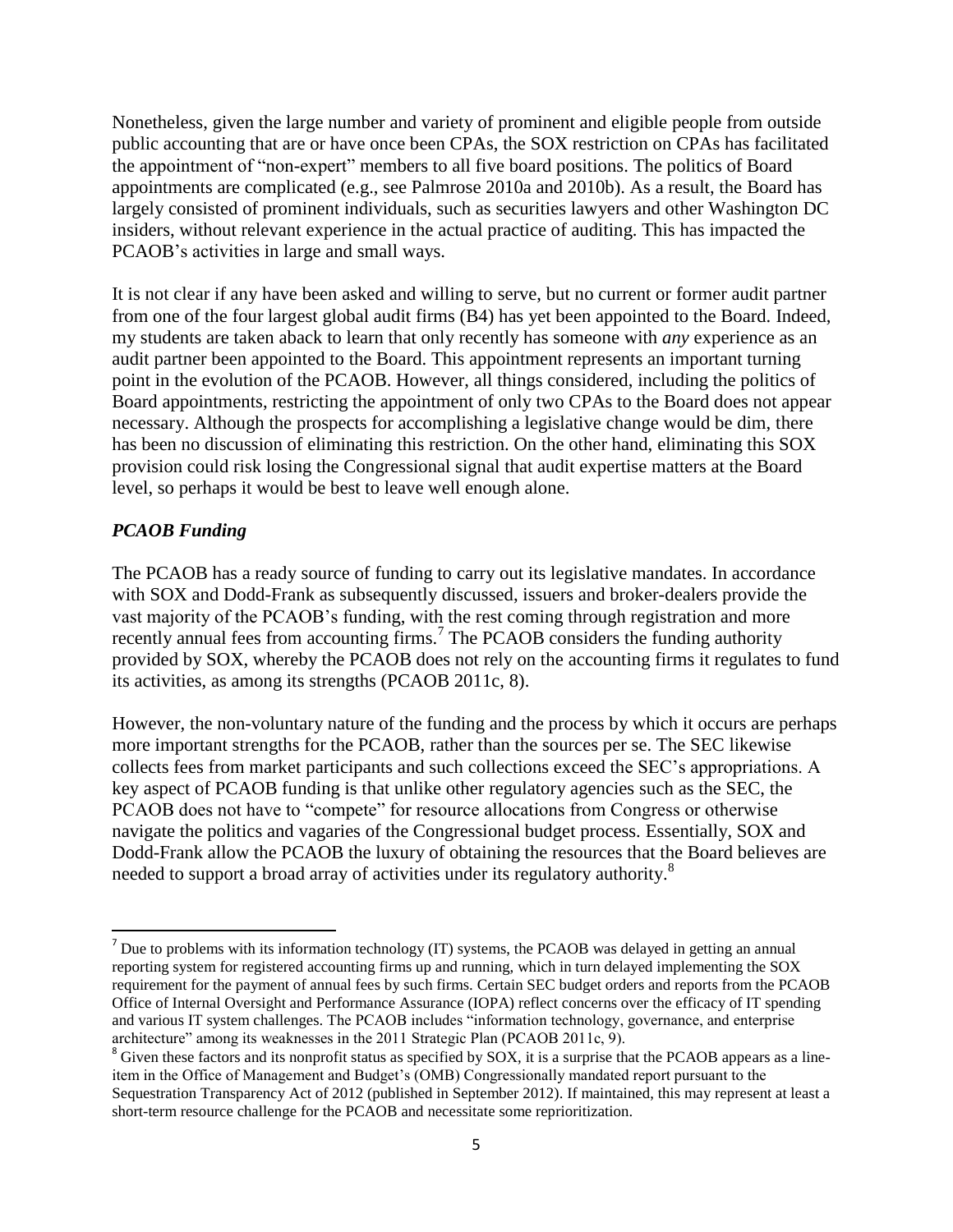Nonetheless, given the large number and variety of prominent and eligible people from outside public accounting that are or have once been CPAs, the SOX restriction on CPAs has facilitated the appointment of "non-expert" members to all five board positions. The politics of Board appointments are complicated (e.g., see Palmrose 2010a and 2010b). As a result, the Board has largely consisted of prominent individuals, such as securities lawyers and other Washington DC insiders, without relevant experience in the actual practice of auditing. This has impacted the PCAOB"s activities in large and small ways.

It is not clear if any have been asked and willing to serve, but no current or former audit partner from one of the four largest global audit firms (B4) has yet been appointed to the Board. Indeed, my students are taken aback to learn that only recently has someone with *any* experience as an audit partner been appointed to the Board. This appointment represents an important turning point in the evolution of the PCAOB. However, all things considered, including the politics of Board appointments, restricting the appointment of only two CPAs to the Board does not appear necessary. Although the prospects for accomplishing a legislative change would be dim, there has been no discussion of eliminating this restriction. On the other hand, eliminating this SOX provision could risk losing the Congressional signal that audit expertise matters at the Board level, so perhaps it would be best to leave well enough alone.

## *PCAOB Funding*

 $\overline{\phantom{a}}$ 

The PCAOB has a ready source of funding to carry out its legislative mandates. In accordance with SOX and Dodd-Frank as subsequently discussed, issuers and broker-dealers provide the vast majority of the PCAOB"s funding, with the rest coming through registration and more recently annual fees from accounting firms.<sup>7</sup> The PCAOB considers the funding authority provided by SOX, whereby the PCAOB does not rely on the accounting firms it regulates to fund its activities, as among its strengths (PCAOB 2011c, 8).

However, the non-voluntary nature of the funding and the process by which it occurs are perhaps more important strengths for the PCAOB, rather than the sources per se. The SEC likewise collects fees from market participants and such collections exceed the SEC"s appropriations. A key aspect of PCAOB funding is that unlike other regulatory agencies such as the SEC, the PCAOB does not have to "compete" for resource allocations from Congress or otherwise navigate the politics and vagaries of the Congressional budget process. Essentially, SOX and Dodd-Frank allow the PCAOB the luxury of obtaining the resources that the Board believes are needed to support a broad array of activities under its regulatory authority.<sup>8</sup>

 $<sup>7</sup>$  Due to problems with its information technology (IT) systems, the PCAOB was delayed in getting an annual</sup> reporting system for registered accounting firms up and running, which in turn delayed implementing the SOX requirement for the payment of annual fees by such firms. Certain SEC budget orders and reports from the PCAOB Office of Internal Oversight and Performance Assurance (IOPA) reflect concerns over the efficacy of IT spending and various IT system challenges. The PCAOB includes "information technology, governance, and enterprise architecture" among its weaknesses in the 2011 Strategic Plan (PCAOB 2011c, 9).

<sup>&</sup>lt;sup>8</sup> Given these factors and its nonprofit status as specified by SOX, it is a surprise that the PCAOB appears as a lineitem in the Office of Management and Budget"s (OMB) Congressionally mandated report pursuant to the Sequestration Transparency Act of 2012 (published in September 2012). If maintained, this may represent at least a short-term resource challenge for the PCAOB and necessitate some reprioritization.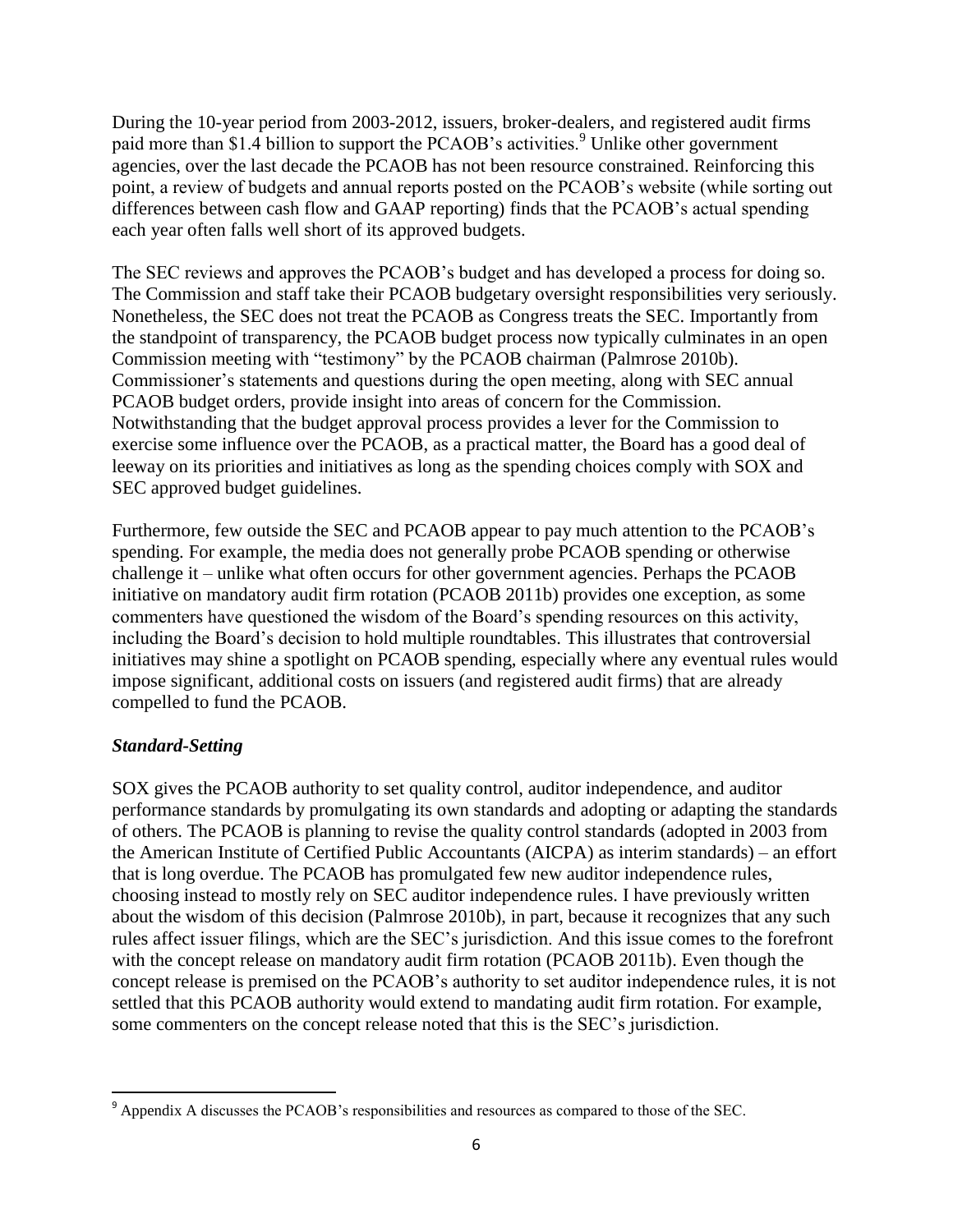During the 10-year period from 2003-2012, issuers, broker-dealers, and registered audit firms paid more than \$1.4 billion to support the PCAOB's activities.<sup>9</sup> Unlike other government agencies, over the last decade the PCAOB has not been resource constrained. Reinforcing this point, a review of budgets and annual reports posted on the PCAOB"s website (while sorting out differences between cash flow and GAAP reporting) finds that the PCAOB"s actual spending each year often falls well short of its approved budgets.

The SEC reviews and approves the PCAOB"s budget and has developed a process for doing so. The Commission and staff take their PCAOB budgetary oversight responsibilities very seriously. Nonetheless, the SEC does not treat the PCAOB as Congress treats the SEC. Importantly from the standpoint of transparency, the PCAOB budget process now typically culminates in an open Commission meeting with "testimony" by the PCAOB chairman (Palmrose 2010b). Commissioner's statements and questions during the open meeting, along with SEC annual PCAOB budget orders, provide insight into areas of concern for the Commission. Notwithstanding that the budget approval process provides a lever for the Commission to exercise some influence over the PCAOB, as a practical matter, the Board has a good deal of leeway on its priorities and initiatives as long as the spending choices comply with SOX and SEC approved budget guidelines.

Furthermore, few outside the SEC and PCAOB appear to pay much attention to the PCAOB"s spending. For example, the media does not generally probe PCAOB spending or otherwise challenge it – unlike what often occurs for other government agencies. Perhaps the PCAOB initiative on mandatory audit firm rotation (PCAOB 2011b) provides one exception, as some commenters have questioned the wisdom of the Board"s spending resources on this activity, including the Board"s decision to hold multiple roundtables. This illustrates that controversial initiatives may shine a spotlight on PCAOB spending, especially where any eventual rules would impose significant, additional costs on issuers (and registered audit firms) that are already compelled to fund the PCAOB.

## *Standard-Setting*

 $\overline{\phantom{a}}$ 

SOX gives the PCAOB authority to set quality control, auditor independence, and auditor performance standards by promulgating its own standards and adopting or adapting the standards of others. The PCAOB is planning to revise the quality control standards (adopted in 2003 from the American Institute of Certified Public Accountants (AICPA) as interim standards) – an effort that is long overdue. The PCAOB has promulgated few new auditor independence rules, choosing instead to mostly rely on SEC auditor independence rules. I have previously written about the wisdom of this decision (Palmrose 2010b), in part, because it recognizes that any such rules affect issuer filings, which are the SEC"s jurisdiction. And this issue comes to the forefront with the concept release on mandatory audit firm rotation (PCAOB 2011b). Even though the concept release is premised on the PCAOB"s authority to set auditor independence rules, it is not settled that this PCAOB authority would extend to mandating audit firm rotation. For example, some commenters on the concept release noted that this is the SEC"s jurisdiction.

<sup>&</sup>lt;sup>9</sup> Appendix A discusses the PCAOB's responsibilities and resources as compared to those of the SEC.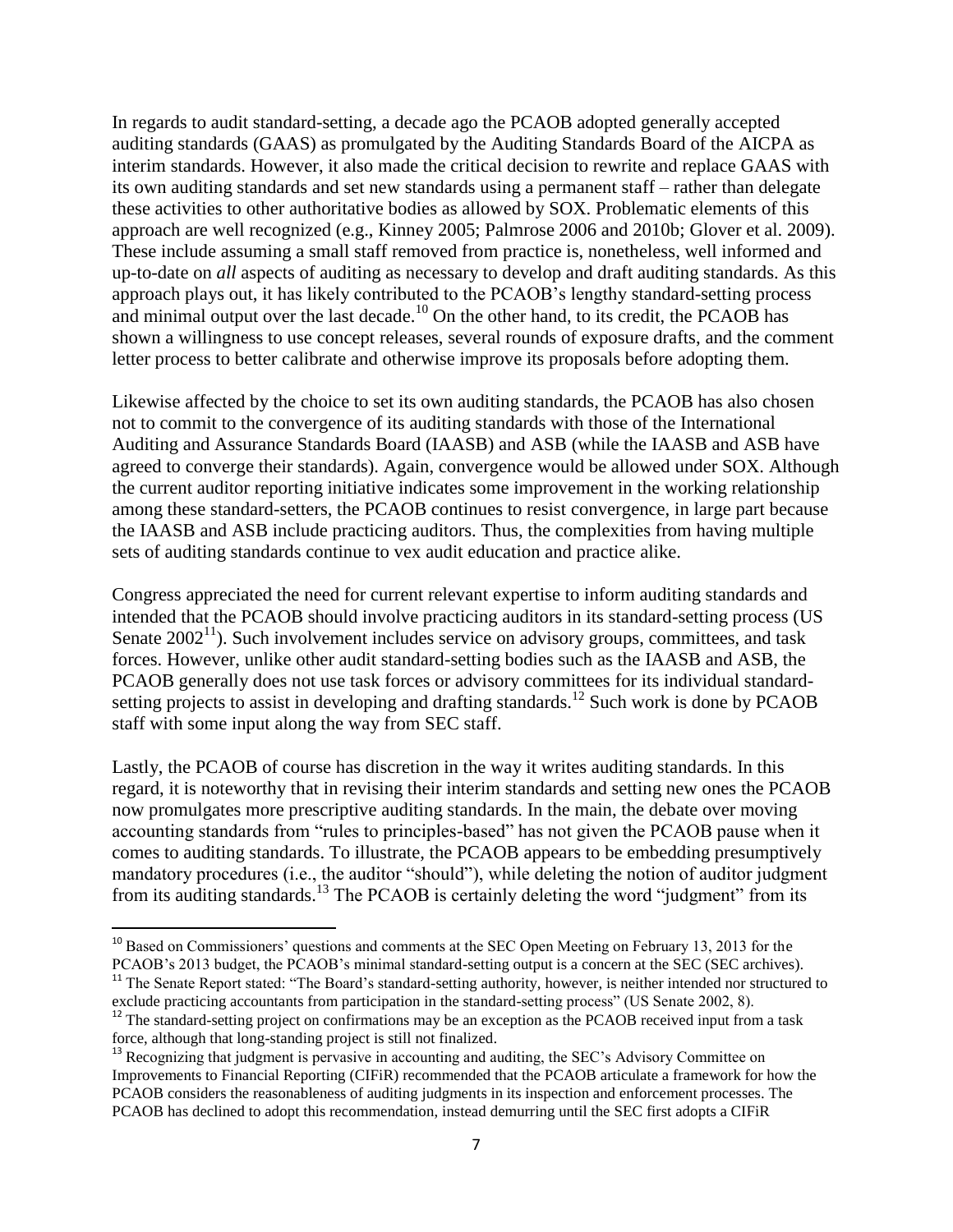In regards to audit standard-setting, a decade ago the PCAOB adopted generally accepted auditing standards (GAAS) as promulgated by the Auditing Standards Board of the AICPA as interim standards. However, it also made the critical decision to rewrite and replace GAAS with its own auditing standards and set new standards using a permanent staff – rather than delegate these activities to other authoritative bodies as allowed by SOX. Problematic elements of this approach are well recognized (e.g., Kinney 2005; Palmrose 2006 and 2010b; Glover et al. 2009). These include assuming a small staff removed from practice is, nonetheless, well informed and up-to-date on *all* aspects of auditing as necessary to develop and draft auditing standards. As this approach plays out, it has likely contributed to the PCAOB"s lengthy standard-setting process and minimal output over the last decade.<sup>10</sup> On the other hand, to its credit, the PCAOB has shown a willingness to use concept releases, several rounds of exposure drafts, and the comment letter process to better calibrate and otherwise improve its proposals before adopting them.

Likewise affected by the choice to set its own auditing standards, the PCAOB has also chosen not to commit to the convergence of its auditing standards with those of the International Auditing and Assurance Standards Board (IAASB) and ASB (while the IAASB and ASB have agreed to converge their standards). Again, convergence would be allowed under SOX. Although the current auditor reporting initiative indicates some improvement in the working relationship among these standard-setters, the PCAOB continues to resist convergence, in large part because the IAASB and ASB include practicing auditors. Thus, the complexities from having multiple sets of auditing standards continue to vex audit education and practice alike.

Congress appreciated the need for current relevant expertise to inform auditing standards and intended that the PCAOB should involve practicing auditors in its standard-setting process (US Senate  $2002<sup>11</sup>$ ). Such involvement includes service on advisory groups, committees, and task forces. However, unlike other audit standard-setting bodies such as the IAASB and ASB, the PCAOB generally does not use task forces or advisory committees for its individual standardsetting projects to assist in developing and drafting standards.<sup>12</sup> Such work is done by PCAOB staff with some input along the way from SEC staff.

Lastly, the PCAOB of course has discretion in the way it writes auditing standards. In this regard, it is noteworthy that in revising their interim standards and setting new ones the PCAOB now promulgates more prescriptive auditing standards. In the main, the debate over moving accounting standards from "rules to principles-based" has not given the PCAOB pause when it comes to auditing standards. To illustrate, the PCAOB appears to be embedding presumptively mandatory procedures (i.e., the auditor "should"), while deleting the notion of auditor judgment from its auditing standards.<sup>13</sup> The PCAOB is certainly deleting the word "judgment" from its

 $\overline{\phantom{a}}$ 

<sup>&</sup>lt;sup>10</sup> Based on Commissioners' questions and comments at the SEC Open Meeting on February 13, 2013 for the PCAOB"s 2013 budget, the PCAOB"s minimal standard-setting output is a concern at the SEC (SEC archives).

<sup>&</sup>lt;sup>11</sup> The Senate Report stated: "The Board's standard-setting authority, however, is neither intended nor structured to exclude practicing accountants from participation in the standard-setting process" (US Senate 2002, 8).  $12$  The standard-setting project on confirmations may be an exception as the PCAOB received input from a task

force, although that long-standing project is still not finalized.

<sup>&</sup>lt;sup>13</sup> Recognizing that judgment is pervasive in accounting and auditing, the SEC's Advisory Committee on Improvements to Financial Reporting (CIFiR) recommended that the PCAOB articulate a framework for how the PCAOB considers the reasonableness of auditing judgments in its inspection and enforcement processes. The PCAOB has declined to adopt this recommendation, instead demurring until the SEC first adopts a CIFiR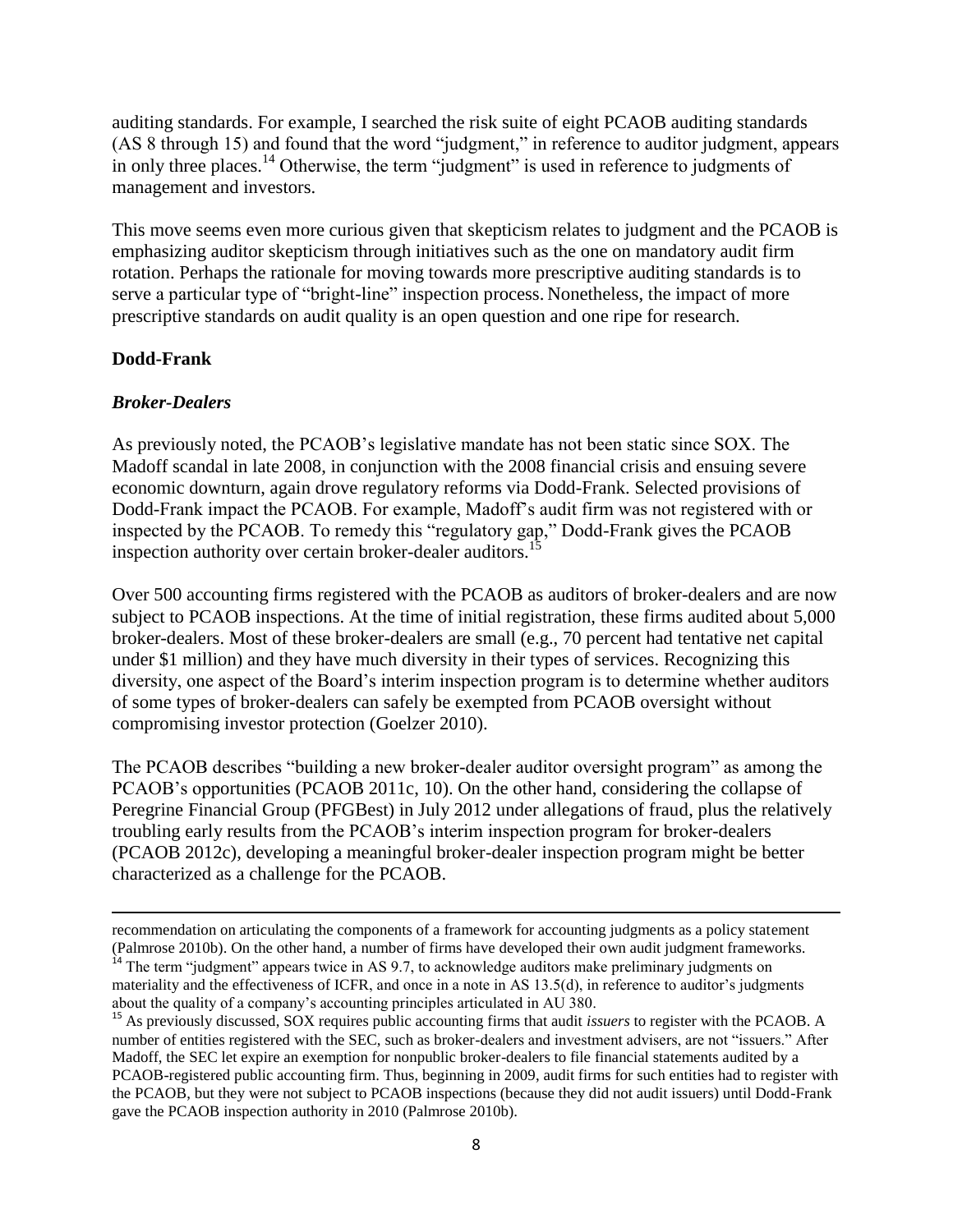auditing standards. For example, I searched the risk suite of eight PCAOB auditing standards (AS 8 through 15) and found that the word "judgment," in reference to auditor judgment, appears in only three places.<sup>14</sup> Otherwise, the term "judgment" is used in reference to judgments of management and investors.

This move seems even more curious given that skepticism relates to judgment and the PCAOB is emphasizing auditor skepticism through initiatives such as the one on mandatory audit firm rotation. Perhaps the rationale for moving towards more prescriptive auditing standards is to serve a particular type of "bright-line" inspection process. Nonetheless, the impact of more prescriptive standards on audit quality is an open question and one ripe for research.

#### **Dodd-Frank**

 $\overline{a}$ 

#### *Broker-Dealers*

As previously noted, the PCAOB"s legislative mandate has not been static since SOX. The Madoff scandal in late 2008, in conjunction with the 2008 financial crisis and ensuing severe economic downturn, again drove regulatory reforms via Dodd-Frank. Selected provisions of Dodd-Frank impact the PCAOB. For example, Madoff"s audit firm was not registered with or inspected by the PCAOB. To remedy this "regulatory gap," Dodd-Frank gives the PCAOB inspection authority over certain broker-dealer auditors.<sup>1</sup>

Over 500 accounting firms registered with the PCAOB as auditors of broker-dealers and are now subject to PCAOB inspections. At the time of initial registration, these firms audited about 5,000 broker-dealers. Most of these broker-dealers are small (e.g., 70 percent had tentative net capital under \$1 million) and they have much diversity in their types of services. Recognizing this diversity, one aspect of the Board"s interim inspection program is to determine whether auditors of some types of broker-dealers can safely be exempted from PCAOB oversight without compromising investor protection (Goelzer 2010).

The PCAOB describes "building a new broker-dealer auditor oversight program" as among the PCAOB"s opportunities (PCAOB 2011c, 10). On the other hand, considering the collapse of Peregrine Financial Group (PFGBest) in July 2012 under allegations of fraud, plus the relatively troubling early results from the PCAOB"s interim inspection program for broker-dealers (PCAOB 2012c), developing a meaningful broker-dealer inspection program might be better characterized as a challenge for the PCAOB.

recommendation on articulating the components of a framework for accounting judgments as a policy statement (Palmrose 2010b). On the other hand, a number of firms have developed their own audit judgment frameworks.

 $14$  The term "judgment" appears twice in AS 9.7, to acknowledge auditors make preliminary judgments on materiality and the effectiveness of ICFR, and once in a note in AS 13.5(d), in reference to auditor's judgments about the quality of a company"s accounting principles articulated in AU 380.

<sup>&</sup>lt;sup>15</sup> As previously discussed, SOX requires public accounting firms that audit *issuers* to register with the PCAOB. A number of entities registered with the SEC, such as broker-dealers and investment advisers, are not "issuers." After Madoff, the SEC let expire an exemption for nonpublic broker-dealers to file financial statements audited by a PCAOB-registered public accounting firm. Thus, beginning in 2009, audit firms for such entities had to register with the PCAOB, but they were not subject to PCAOB inspections (because they did not audit issuers) until Dodd-Frank gave the PCAOB inspection authority in 2010 (Palmrose 2010b).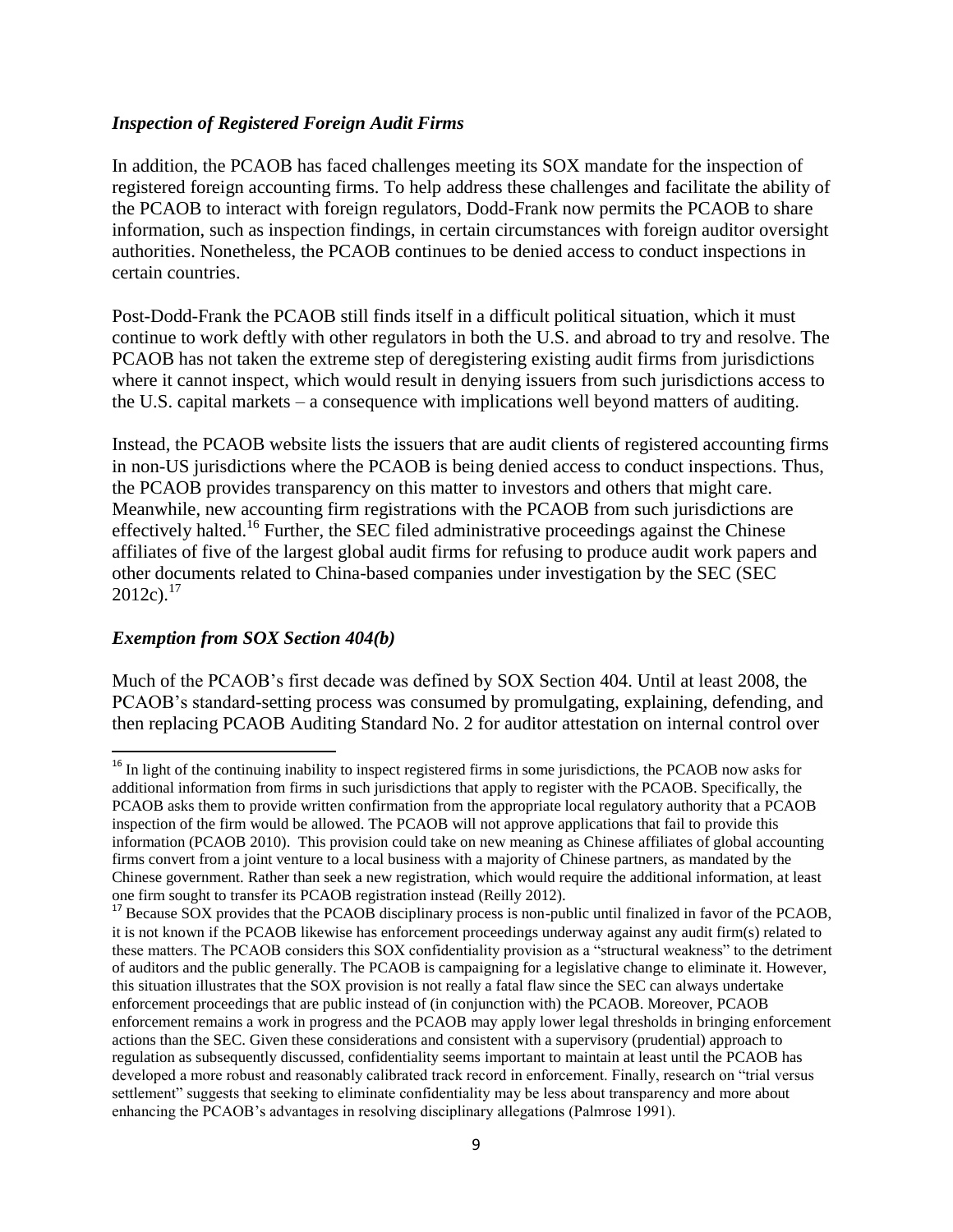#### *Inspection of Registered Foreign Audit Firms*

In addition, the PCAOB has faced challenges meeting its SOX mandate for the inspection of registered foreign accounting firms. To help address these challenges and facilitate the ability of the PCAOB to interact with foreign regulators, Dodd-Frank now permits the PCAOB to share information, such as inspection findings, in certain circumstances with foreign auditor oversight authorities. Nonetheless, the PCAOB continues to be denied access to conduct inspections in certain countries.

Post-Dodd-Frank the PCAOB still finds itself in a difficult political situation, which it must continue to work deftly with other regulators in both the U.S. and abroad to try and resolve. The PCAOB has not taken the extreme step of deregistering existing audit firms from jurisdictions where it cannot inspect, which would result in denying issuers from such jurisdictions access to the U.S. capital markets – a consequence with implications well beyond matters of auditing.

Instead, the PCAOB website lists the issuers that are audit clients of registered accounting firms in non-US jurisdictions where the PCAOB is being denied access to conduct inspections. Thus, the PCAOB provides transparency on this matter to investors and others that might care. Meanwhile, new accounting firm registrations with the PCAOB from such jurisdictions are effectively halted.<sup>16</sup> Further, the SEC filed administrative proceedings against the Chinese affiliates of five of the largest global audit firms for refusing to produce audit work papers and other documents related to China-based companies under investigation by the SEC (SEC  $2012c$ ).<sup>17</sup>

## *Exemption from SOX Section 404(b)*

l

Much of the PCAOB"s first decade was defined by SOX Section 404. Until at least 2008, the PCAOB"s standard-setting process was consumed by promulgating, explaining, defending, and then replacing PCAOB Auditing Standard No. 2 for auditor attestation on internal control over

 $16$  In light of the continuing inability to inspect registered firms in some jurisdictions, the PCAOB now asks for additional information from firms in such jurisdictions that apply to register with the PCAOB. Specifically, the PCAOB asks them to provide written confirmation from the appropriate local regulatory authority that a PCAOB inspection of the firm would be allowed. The PCAOB will not approve applications that fail to provide this information (PCAOB 2010). This provision could take on new meaning as Chinese affiliates of global accounting firms convert from a joint venture to a local business with a majority of Chinese partners, as mandated by the Chinese government. Rather than seek a new registration, which would require the additional information, at least one firm sought to transfer its PCAOB registration instead (Reilly 2012).

 $17$  Because SOX provides that the PCAOB disciplinary process is non-public until finalized in favor of the PCAOB, it is not known if the PCAOB likewise has enforcement proceedings underway against any audit firm(s) related to these matters. The PCAOB considers this SOX confidentiality provision as a "structural weakness" to the detriment of auditors and the public generally. The PCAOB is campaigning for a legislative change to eliminate it. However, this situation illustrates that the SOX provision is not really a fatal flaw since the SEC can always undertake enforcement proceedings that are public instead of (in conjunction with) the PCAOB. Moreover, PCAOB enforcement remains a work in progress and the PCAOB may apply lower legal thresholds in bringing enforcement actions than the SEC. Given these considerations and consistent with a supervisory (prudential) approach to regulation as subsequently discussed, confidentiality seems important to maintain at least until the PCAOB has developed a more robust and reasonably calibrated track record in enforcement. Finally, research on "trial versus settlement" suggests that seeking to eliminate confidentiality may be less about transparency and more about enhancing the PCAOB"s advantages in resolving disciplinary allegations (Palmrose 1991).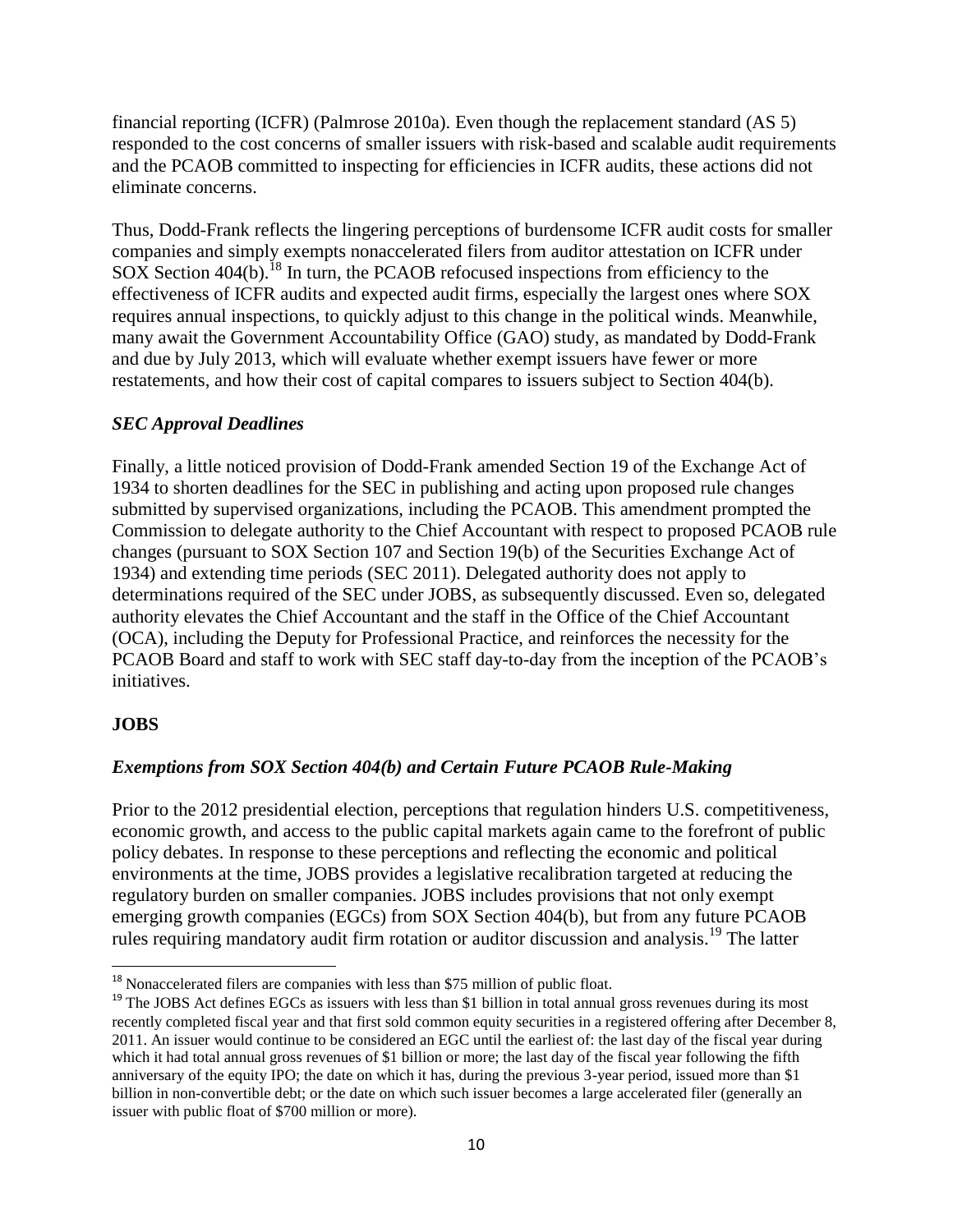financial reporting (ICFR) (Palmrose 2010a). Even though the replacement standard (AS 5) responded to the cost concerns of smaller issuers with risk-based and scalable audit requirements and the PCAOB committed to inspecting for efficiencies in ICFR audits, these actions did not eliminate concerns.

Thus, Dodd-Frank reflects the lingering perceptions of burdensome ICFR audit costs for smaller companies and simply exempts nonaccelerated filers from auditor attestation on ICFR under  $SOX$  Section 404(b).<sup>18</sup> In turn, the PCAOB refocused inspections from efficiency to the effectiveness of ICFR audits and expected audit firms, especially the largest ones where SOX requires annual inspections, to quickly adjust to this change in the political winds. Meanwhile, many await the Government Accountability Office (GAO) study, as mandated by Dodd-Frank and due by July 2013, which will evaluate whether exempt issuers have fewer or more restatements, and how their cost of capital compares to issuers subject to Section 404(b).

#### *SEC Approval Deadlines*

Finally, a little noticed provision of Dodd-Frank amended Section 19 of the Exchange Act of 1934 to shorten deadlines for the SEC in publishing and acting upon proposed rule changes submitted by supervised organizations, including the PCAOB. This amendment prompted the Commission to delegate authority to the Chief Accountant with respect to proposed PCAOB rule changes (pursuant to SOX Section 107 and Section 19(b) of the Securities Exchange Act of 1934) and extending time periods (SEC 2011). Delegated authority does not apply to determinations required of the SEC under JOBS, as subsequently discussed. Even so, delegated authority elevates the Chief Accountant and the staff in the Office of the Chief Accountant (OCA), including the Deputy for Professional Practice, and reinforces the necessity for the PCAOB Board and staff to work with SEC staff day-to-day from the inception of the PCAOB"s initiatives.

## **JOBS**

l

## *Exemptions from SOX Section 404(b) and Certain Future PCAOB Rule-Making*

Prior to the 2012 presidential election, perceptions that regulation hinders U.S. competitiveness, economic growth, and access to the public capital markets again came to the forefront of public policy debates. In response to these perceptions and reflecting the economic and political environments at the time, JOBS provides a legislative recalibration targeted at reducing the regulatory burden on smaller companies. JOBS includes provisions that not only exempt emerging growth companies (EGCs) from SOX Section 404(b), but from any future PCAOB rules requiring mandatory audit firm rotation or auditor discussion and analysis.<sup>19</sup> The latter

 $18$  Nonaccelerated filers are companies with less than \$75 million of public float.

<sup>&</sup>lt;sup>19</sup> The JOBS Act defines EGCs as issuers with less than \$1 billion in total annual gross revenues during its most recently completed fiscal year and that first sold common equity securities in a registered offering after December 8, 2011. An issuer would continue to be considered an EGC until the earliest of: the last day of the fiscal year during which it had total annual gross revenues of \$1 billion or more; the last day of the fiscal year following the fifth anniversary of the equity IPO; the date on which it has, during the previous 3-year period, issued more than \$1 billion in non-convertible debt; or the date on which such issuer becomes a large accelerated filer (generally an issuer with public float of \$700 million or more).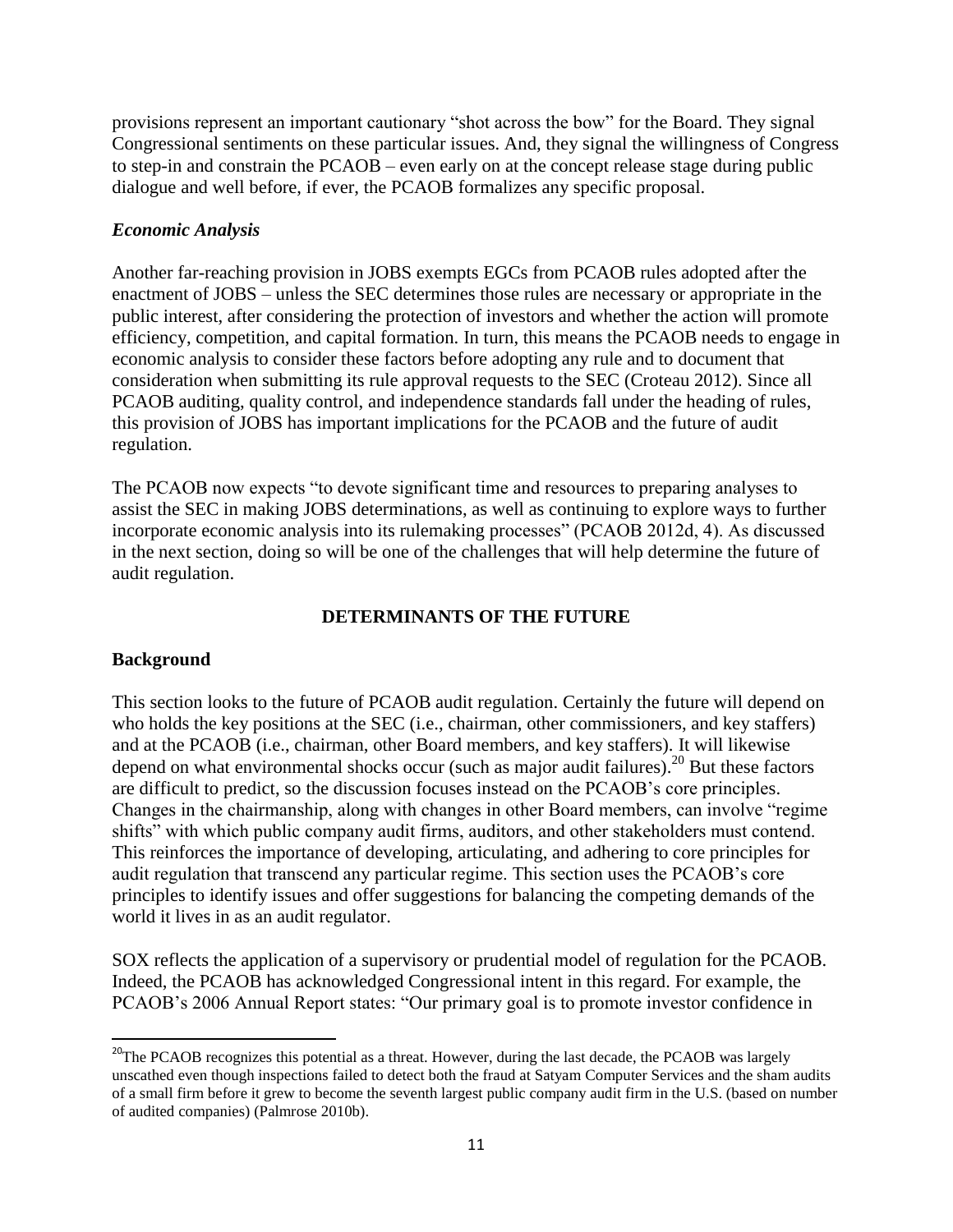provisions represent an important cautionary "shot across the bow" for the Board. They signal Congressional sentiments on these particular issues. And, they signal the willingness of Congress to step-in and constrain the PCAOB – even early on at the concept release stage during public dialogue and well before, if ever, the PCAOB formalizes any specific proposal.

## *Economic Analysis*

Another far-reaching provision in JOBS exempts EGCs from PCAOB rules adopted after the enactment of JOBS – unless the SEC determines those rules are necessary or appropriate in the public interest, after considering the protection of investors and whether the action will promote efficiency, competition, and capital formation. In turn, this means the PCAOB needs to engage in economic analysis to consider these factors before adopting any rule and to document that consideration when submitting its rule approval requests to the SEC (Croteau 2012). Since all PCAOB auditing, quality control, and independence standards fall under the heading of rules, this provision of JOBS has important implications for the PCAOB and the future of audit regulation.

The PCAOB now expects "to devote significant time and resources to preparing analyses to assist the SEC in making JOBS determinations, as well as continuing to explore ways to further incorporate economic analysis into its rulemaking processes" (PCAOB 2012d, 4). As discussed in the next section, doing so will be one of the challenges that will help determine the future of audit regulation.

# **DETERMINANTS OF THE FUTURE**

## **Background**

 $\overline{\phantom{a}}$ 

This section looks to the future of PCAOB audit regulation. Certainly the future will depend on who holds the key positions at the SEC (i.e., chairman, other commissioners, and key staffers) and at the PCAOB (i.e., chairman, other Board members, and key staffers). It will likewise depend on what environmental shocks occur (such as major audit failures).<sup>20</sup> But these factors are difficult to predict, so the discussion focuses instead on the PCAOB"s core principles. Changes in the chairmanship, along with changes in other Board members, can involve "regime shifts" with which public company audit firms, auditors, and other stakeholders must contend. This reinforces the importance of developing, articulating, and adhering to core principles for audit regulation that transcend any particular regime. This section uses the PCAOB"s core principles to identify issues and offer suggestions for balancing the competing demands of the world it lives in as an audit regulator.

SOX reflects the application of a supervisory or prudential model of regulation for the PCAOB. Indeed, the PCAOB has acknowledged Congressional intent in this regard. For example, the PCAOB"s 2006 Annual Report states: "Our primary goal is to promote investor confidence in

<sup>&</sup>lt;sup>20</sup>The PCAOB recognizes this potential as a threat. However, during the last decade, the PCAOB was largely unscathed even though inspections failed to detect both the fraud at Satyam Computer Services and the sham audits of a small firm before it grew to become the seventh largest public company audit firm in the U.S. (based on number of audited companies) (Palmrose 2010b).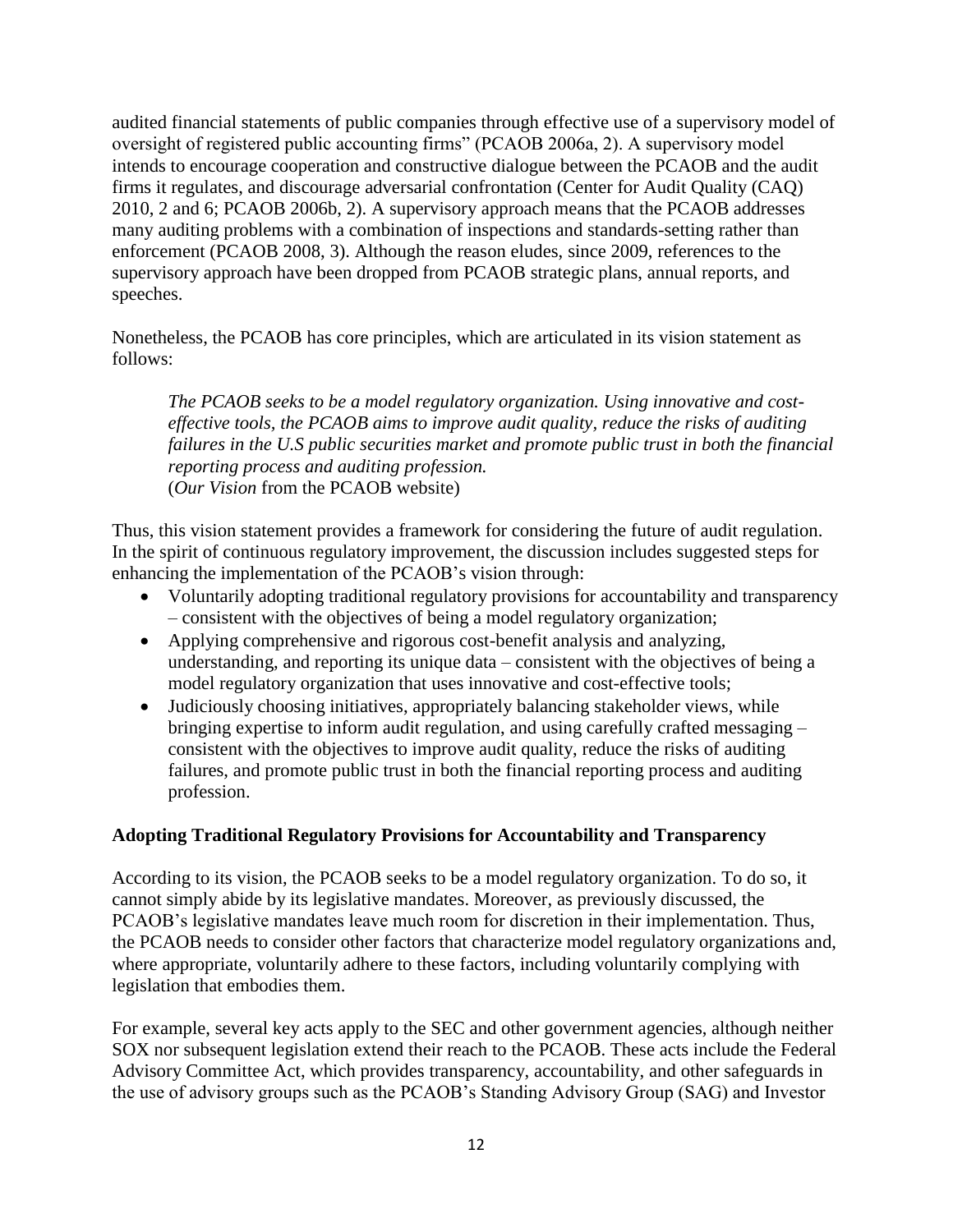audited financial statements of public companies through effective use of a supervisory model of oversight of registered public accounting firms" (PCAOB 2006a, 2). A supervisory model intends to encourage cooperation and constructive dialogue between the PCAOB and the audit firms it regulates, and discourage adversarial confrontation (Center for Audit Quality (CAQ) 2010, 2 and 6; PCAOB 2006b, 2). A supervisory approach means that the PCAOB addresses many auditing problems with a combination of inspections and standards-setting rather than enforcement (PCAOB 2008, 3). Although the reason eludes, since 2009, references to the supervisory approach have been dropped from PCAOB strategic plans, annual reports, and speeches.

Nonetheless, the PCAOB has core principles, which are articulated in its vision statement as follows:

*The PCAOB seeks to be a model regulatory organization. Using innovative and costeffective tools, the PCAOB aims to improve audit quality, reduce the risks of auditing failures in the U.S public securities market and promote public trust in both the financial reporting process and auditing profession.* (*Our Vision* from the PCAOB website)

Thus, this vision statement provides a framework for considering the future of audit regulation. In the spirit of continuous regulatory improvement, the discussion includes suggested steps for enhancing the implementation of the PCAOB's vision through:

- Voluntarily adopting traditional regulatory provisions for accountability and transparency – consistent with the objectives of being a model regulatory organization;
- Applying comprehensive and rigorous cost-benefit analysis and analyzing, understanding, and reporting its unique data – consistent with the objectives of being a model regulatory organization that uses innovative and cost-effective tools;
- Judiciously choosing initiatives, appropriately balancing stakeholder views, while bringing expertise to inform audit regulation, and using carefully crafted messaging – consistent with the objectives to improve audit quality, reduce the risks of auditing failures, and promote public trust in both the financial reporting process and auditing profession.

## **Adopting Traditional Regulatory Provisions for Accountability and Transparency**

According to its vision, the PCAOB seeks to be a model regulatory organization. To do so, it cannot simply abide by its legislative mandates. Moreover, as previously discussed, the PCAOB"s legislative mandates leave much room for discretion in their implementation. Thus, the PCAOB needs to consider other factors that characterize model regulatory organizations and, where appropriate, voluntarily adhere to these factors, including voluntarily complying with legislation that embodies them.

For example, several key acts apply to the SEC and other government agencies, although neither SOX nor subsequent legislation extend their reach to the PCAOB. These acts include the Federal Advisory Committee Act, which provides transparency, accountability, and other safeguards in the use of advisory groups such as the PCAOB"s Standing Advisory Group (SAG) and Investor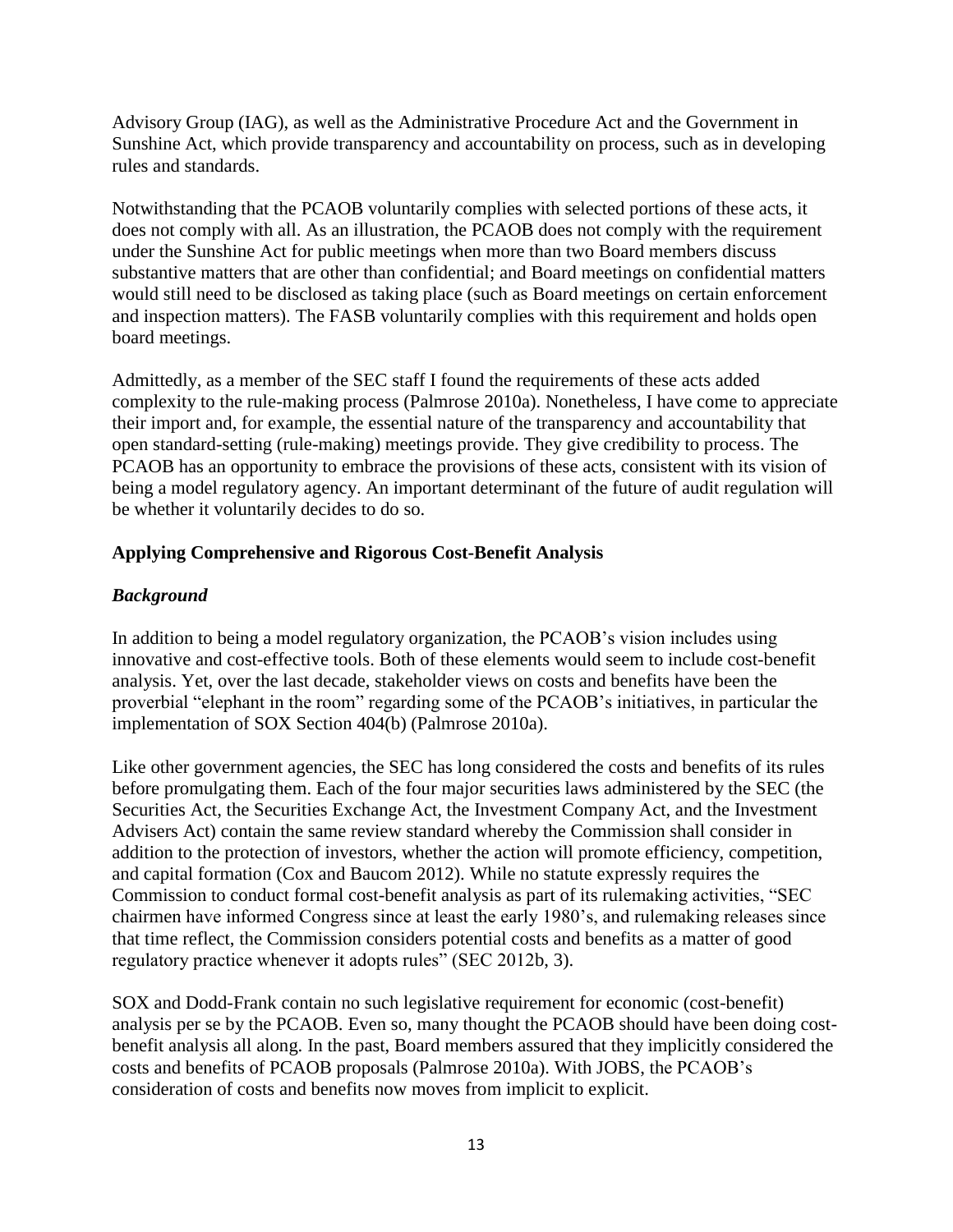Advisory Group (IAG), as well as the Administrative Procedure Act and the Government in Sunshine Act, which provide transparency and accountability on process, such as in developing rules and standards.

Notwithstanding that the PCAOB voluntarily complies with selected portions of these acts, it does not comply with all. As an illustration, the PCAOB does not comply with the requirement under the Sunshine Act for public meetings when more than two Board members discuss substantive matters that are other than confidential; and Board meetings on confidential matters would still need to be disclosed as taking place (such as Board meetings on certain enforcement and inspection matters). The FASB voluntarily complies with this requirement and holds open board meetings.

Admittedly, as a member of the SEC staff I found the requirements of these acts added complexity to the rule-making process (Palmrose 2010a). Nonetheless, I have come to appreciate their import and, for example, the essential nature of the transparency and accountability that open standard-setting (rule-making) meetings provide. They give credibility to process. The PCAOB has an opportunity to embrace the provisions of these acts, consistent with its vision of being a model regulatory agency. An important determinant of the future of audit regulation will be whether it voluntarily decides to do so.

## **Applying Comprehensive and Rigorous Cost-Benefit Analysis**

# *Background*

In addition to being a model regulatory organization, the PCAOB"s vision includes using innovative and cost-effective tools. Both of these elements would seem to include cost-benefit analysis. Yet, over the last decade, stakeholder views on costs and benefits have been the proverbial "elephant in the room" regarding some of the PCAOB"s initiatives, in particular the implementation of SOX Section 404(b) (Palmrose 2010a).

Like other government agencies, the SEC has long considered the costs and benefits of its rules before promulgating them. Each of the four major securities laws administered by the SEC (the Securities Act, the Securities Exchange Act, the Investment Company Act, and the Investment Advisers Act) contain the same review standard whereby the Commission shall consider in addition to the protection of investors, whether the action will promote efficiency, competition, and capital formation (Cox and Baucom 2012). While no statute expressly requires the Commission to conduct formal cost-benefit analysis as part of its rulemaking activities, "SEC chairmen have informed Congress since at least the early 1980"s, and rulemaking releases since that time reflect, the Commission considers potential costs and benefits as a matter of good regulatory practice whenever it adopts rules" (SEC 2012b, 3).

SOX and Dodd-Frank contain no such legislative requirement for economic (cost-benefit) analysis per se by the PCAOB. Even so, many thought the PCAOB should have been doing costbenefit analysis all along. In the past, Board members assured that they implicitly considered the costs and benefits of PCAOB proposals (Palmrose 2010a). With JOBS, the PCAOB"s consideration of costs and benefits now moves from implicit to explicit.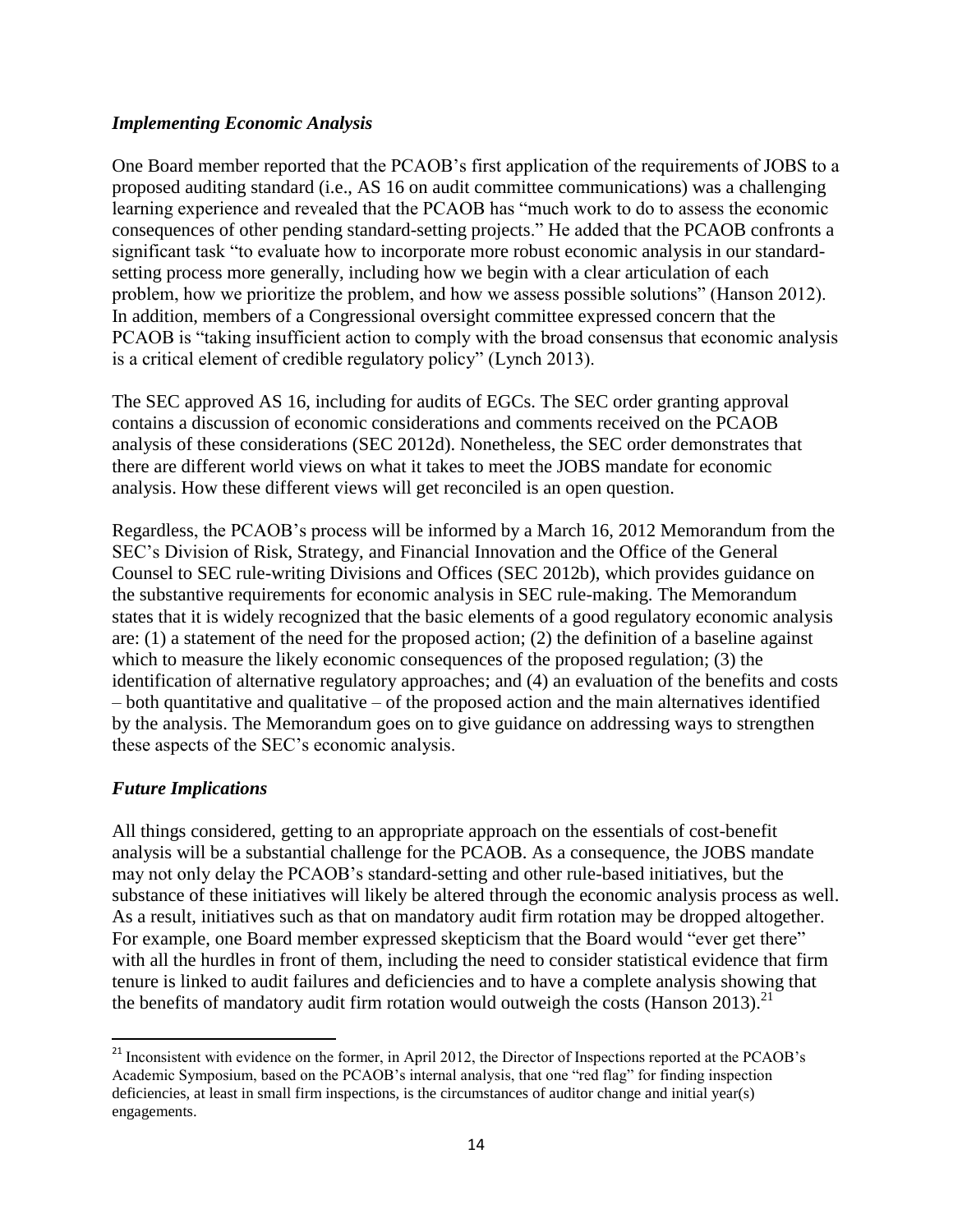#### *Implementing Economic Analysis*

One Board member reported that the PCAOB"s first application of the requirements of JOBS to a proposed auditing standard (i.e., AS 16 on audit committee communications) was a challenging learning experience and revealed that the PCAOB has "much work to do to assess the economic consequences of other pending standard-setting projects." He added that the PCAOB confronts a significant task "to evaluate how to incorporate more robust economic analysis in our standardsetting process more generally, including how we begin with a clear articulation of each problem, how we prioritize the problem, and how we assess possible solutions" (Hanson 2012). In addition, members of a Congressional oversight committee expressed concern that the PCAOB is "taking insufficient action to comply with the broad consensus that economic analysis is a critical element of credible regulatory policy" (Lynch 2013).

The SEC approved AS 16, including for audits of EGCs. The SEC order granting approval contains a discussion of economic considerations and comments received on the PCAOB analysis of these considerations (SEC 2012d). Nonetheless, the SEC order demonstrates that there are different world views on what it takes to meet the JOBS mandate for economic analysis. How these different views will get reconciled is an open question.

Regardless, the PCAOB"s process will be informed by a March 16, 2012 Memorandum from the SEC"s Division of Risk, Strategy, and Financial Innovation and the Office of the General Counsel to SEC rule-writing Divisions and Offices (SEC 2012b), which provides guidance on the substantive requirements for economic analysis in SEC rule-making. The Memorandum states that it is widely recognized that the basic elements of a good regulatory economic analysis are: (1) a statement of the need for the proposed action; (2) the definition of a baseline against which to measure the likely economic consequences of the proposed regulation; (3) the identification of alternative regulatory approaches; and (4) an evaluation of the benefits and costs – both quantitative and qualitative – of the proposed action and the main alternatives identified by the analysis. The Memorandum goes on to give guidance on addressing ways to strengthen these aspects of the SEC"s economic analysis.

## *Future Implications*

 $\overline{\phantom{a}}$ 

All things considered, getting to an appropriate approach on the essentials of cost-benefit analysis will be a substantial challenge for the PCAOB. As a consequence, the JOBS mandate may not only delay the PCAOB"s standard-setting and other rule-based initiatives, but the substance of these initiatives will likely be altered through the economic analysis process as well. As a result, initiatives such as that on mandatory audit firm rotation may be dropped altogether. For example, one Board member expressed skepticism that the Board would "ever get there" with all the hurdles in front of them, including the need to consider statistical evidence that firm tenure is linked to audit failures and deficiencies and to have a complete analysis showing that the benefits of mandatory audit firm rotation would outweigh the costs (Hanson 2013).<sup>21</sup>

 $^{21}$  Inconsistent with evidence on the former, in April 2012, the Director of Inspections reported at the PCAOB's Academic Symposium, based on the PCAOB"s internal analysis, that one "red flag" for finding inspection deficiencies, at least in small firm inspections, is the circumstances of auditor change and initial year(s) engagements.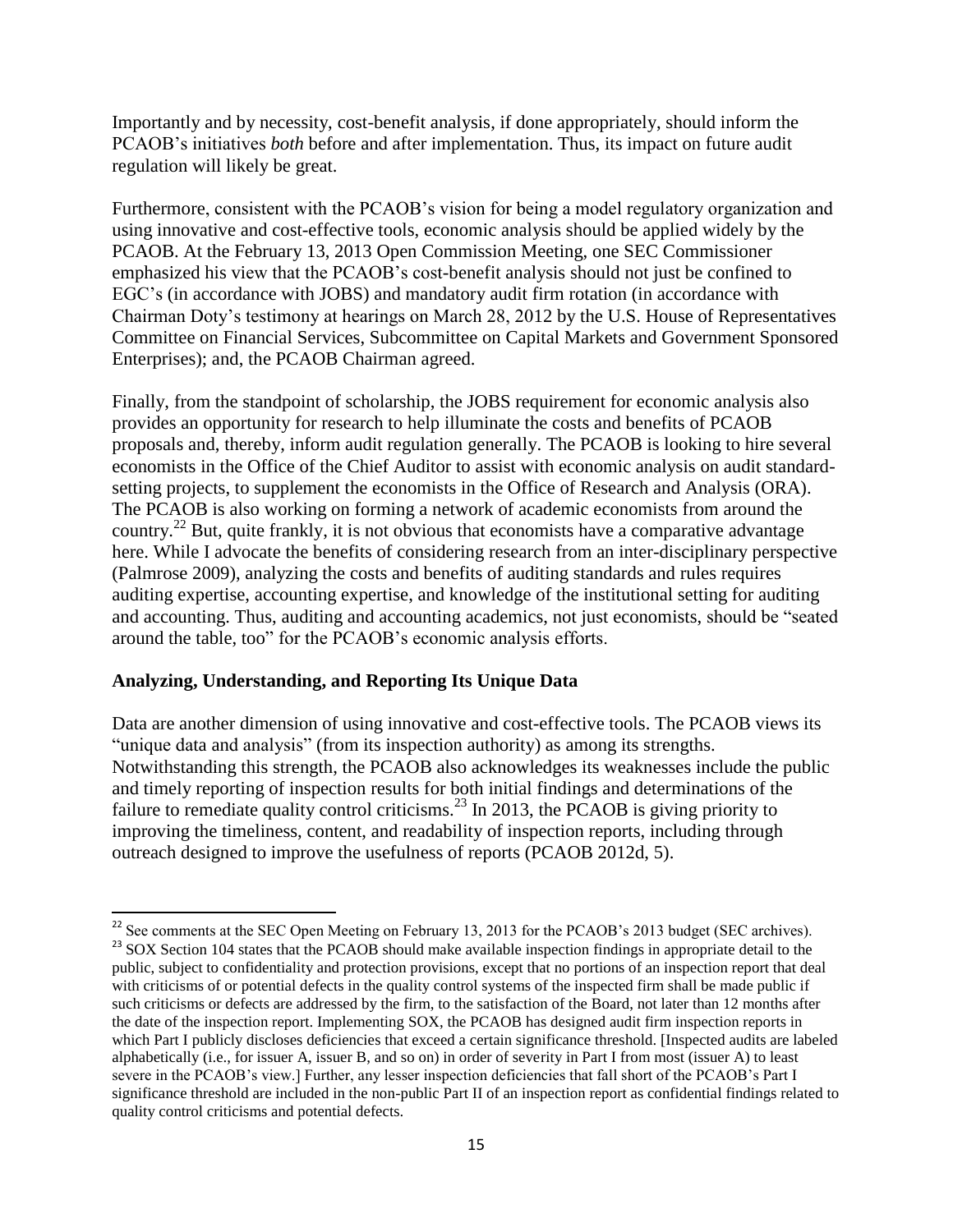Importantly and by necessity, cost-benefit analysis, if done appropriately, should inform the PCAOB"s initiatives *both* before and after implementation. Thus, its impact on future audit regulation will likely be great.

Furthermore, consistent with the PCAOB's vision for being a model regulatory organization and using innovative and cost-effective tools, economic analysis should be applied widely by the PCAOB. At the February 13, 2013 Open Commission Meeting, one SEC Commissioner emphasized his view that the PCAOB"s cost-benefit analysis should not just be confined to EGC"s (in accordance with JOBS) and mandatory audit firm rotation (in accordance with Chairman Doty"s testimony at hearings on March 28, 2012 by the U.S. House of Representatives Committee on Financial Services, Subcommittee on Capital Markets and Government Sponsored Enterprises); and, the PCAOB Chairman agreed.

Finally, from the standpoint of scholarship, the JOBS requirement for economic analysis also provides an opportunity for research to help illuminate the costs and benefits of PCAOB proposals and, thereby, inform audit regulation generally. The PCAOB is looking to hire several economists in the Office of the Chief Auditor to assist with economic analysis on audit standardsetting projects, to supplement the economists in the Office of Research and Analysis (ORA). The PCAOB is also working on forming a network of academic economists from around the country.<sup>22</sup> But, quite frankly, it is not obvious that economists have a comparative advantage here. While I advocate the benefits of considering research from an inter-disciplinary perspective (Palmrose 2009), analyzing the costs and benefits of auditing standards and rules requires auditing expertise, accounting expertise, and knowledge of the institutional setting for auditing and accounting. Thus, auditing and accounting academics, not just economists, should be "seated around the table, too" for the PCAOB"s economic analysis efforts.

## **Analyzing, Understanding, and Reporting Its Unique Data**

Data are another dimension of using innovative and cost-effective tools. The PCAOB views its "unique data and analysis" (from its inspection authority) as among its strengths. Notwithstanding this strength, the PCAOB also acknowledges its weaknesses include the public and timely reporting of inspection results for both initial findings and determinations of the failure to remediate quality control criticisms.<sup>23</sup> In 2013, the PCAOB is giving priority to improving the timeliness, content, and readability of inspection reports, including through outreach designed to improve the usefulness of reports (PCAOB 2012d, 5).

 $\overline{a}$  $^{22}$  See comments at the SEC Open Meeting on February 13, 2013 for the PCAOB's 2013 budget (SEC archives). <sup>23</sup> SOX Section 104 states that the PCAOB should make available inspection findings in appropriate detail to the public, subject to confidentiality and protection provisions, except that no portions of an inspection report that deal with criticisms of or potential defects in the quality control systems of the inspected firm shall be made public if such criticisms or defects are addressed by the firm, to the satisfaction of the Board, not later than 12 months after the date of the inspection report. Implementing SOX, the PCAOB has designed audit firm inspection reports in which Part I publicly discloses deficiencies that exceed a certain significance threshold. [Inspected audits are labeled alphabetically (i.e., for issuer A, issuer B, and so on) in order of severity in Part I from most (issuer A) to least severe in the PCAOB's view.] Further, any lesser inspection deficiencies that fall short of the PCAOB's Part I significance threshold are included in the non-public Part II of an inspection report as confidential findings related to quality control criticisms and potential defects.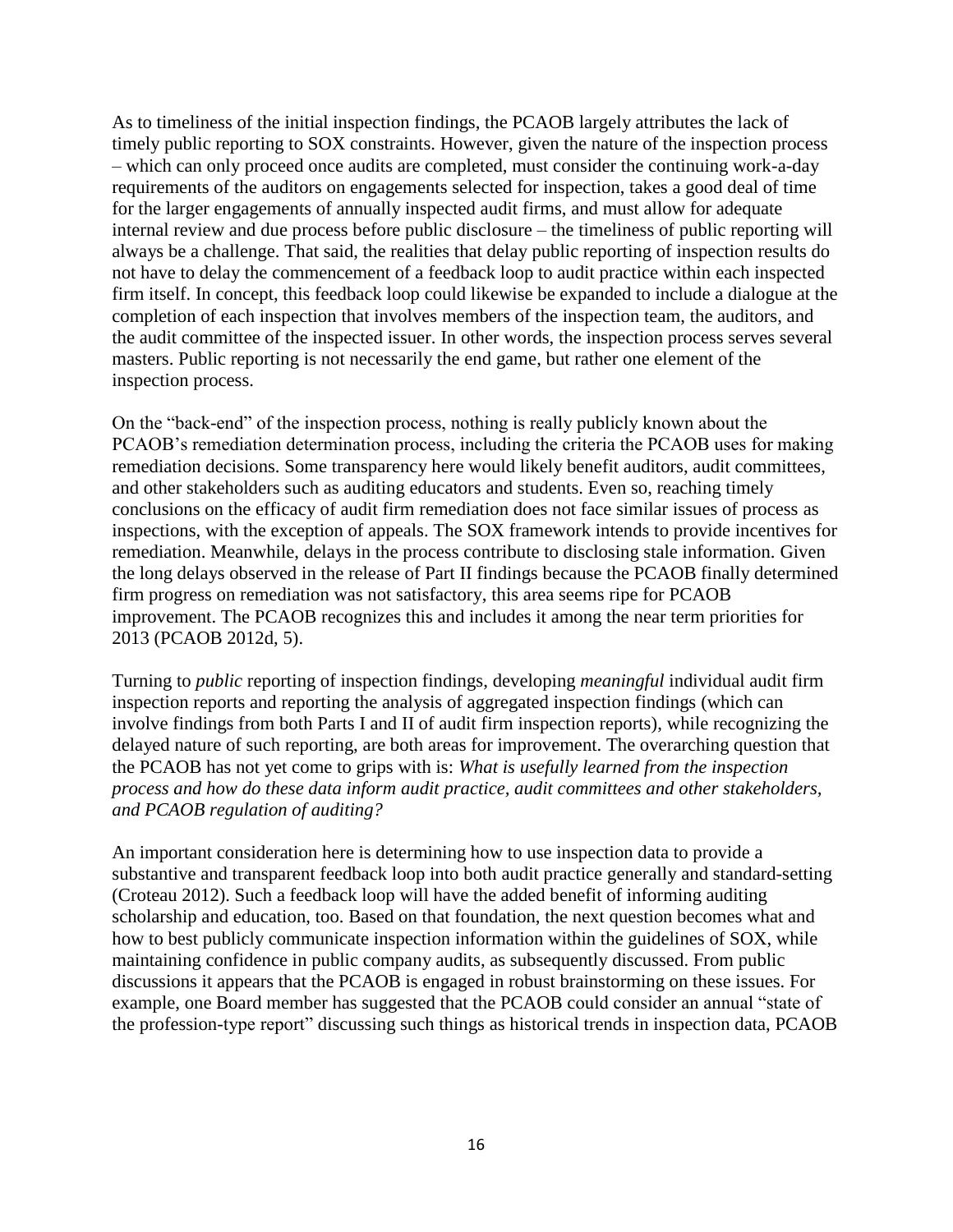As to timeliness of the initial inspection findings, the PCAOB largely attributes the lack of timely public reporting to SOX constraints. However, given the nature of the inspection process – which can only proceed once audits are completed, must consider the continuing work-a-day requirements of the auditors on engagements selected for inspection, takes a good deal of time for the larger engagements of annually inspected audit firms, and must allow for adequate internal review and due process before public disclosure – the timeliness of public reporting will always be a challenge. That said, the realities that delay public reporting of inspection results do not have to delay the commencement of a feedback loop to audit practice within each inspected firm itself. In concept, this feedback loop could likewise be expanded to include a dialogue at the completion of each inspection that involves members of the inspection team, the auditors, and the audit committee of the inspected issuer. In other words, the inspection process serves several masters. Public reporting is not necessarily the end game, but rather one element of the inspection process.

On the "back-end" of the inspection process, nothing is really publicly known about the PCAOB"s remediation determination process, including the criteria the PCAOB uses for making remediation decisions. Some transparency here would likely benefit auditors, audit committees, and other stakeholders such as auditing educators and students. Even so, reaching timely conclusions on the efficacy of audit firm remediation does not face similar issues of process as inspections, with the exception of appeals. The SOX framework intends to provide incentives for remediation. Meanwhile, delays in the process contribute to disclosing stale information. Given the long delays observed in the release of Part II findings because the PCAOB finally determined firm progress on remediation was not satisfactory, this area seems ripe for PCAOB improvement. The PCAOB recognizes this and includes it among the near term priorities for 2013 (PCAOB 2012d, 5).

Turning to *public* reporting of inspection findings, developing *meaningful* individual audit firm inspection reports and reporting the analysis of aggregated inspection findings (which can involve findings from both Parts I and II of audit firm inspection reports), while recognizing the delayed nature of such reporting, are both areas for improvement. The overarching question that the PCAOB has not yet come to grips with is: *What is usefully learned from the inspection process and how do these data inform audit practice, audit committees and other stakeholders, and PCAOB regulation of auditing?* 

An important consideration here is determining how to use inspection data to provide a substantive and transparent feedback loop into both audit practice generally and standard-setting (Croteau 2012). Such a feedback loop will have the added benefit of informing auditing scholarship and education, too. Based on that foundation, the next question becomes what and how to best publicly communicate inspection information within the guidelines of SOX, while maintaining confidence in public company audits, as subsequently discussed. From public discussions it appears that the PCAOB is engaged in robust brainstorming on these issues. For example, one Board member has suggested that the PCAOB could consider an annual "state of the profession-type report" discussing such things as historical trends in inspection data, PCAOB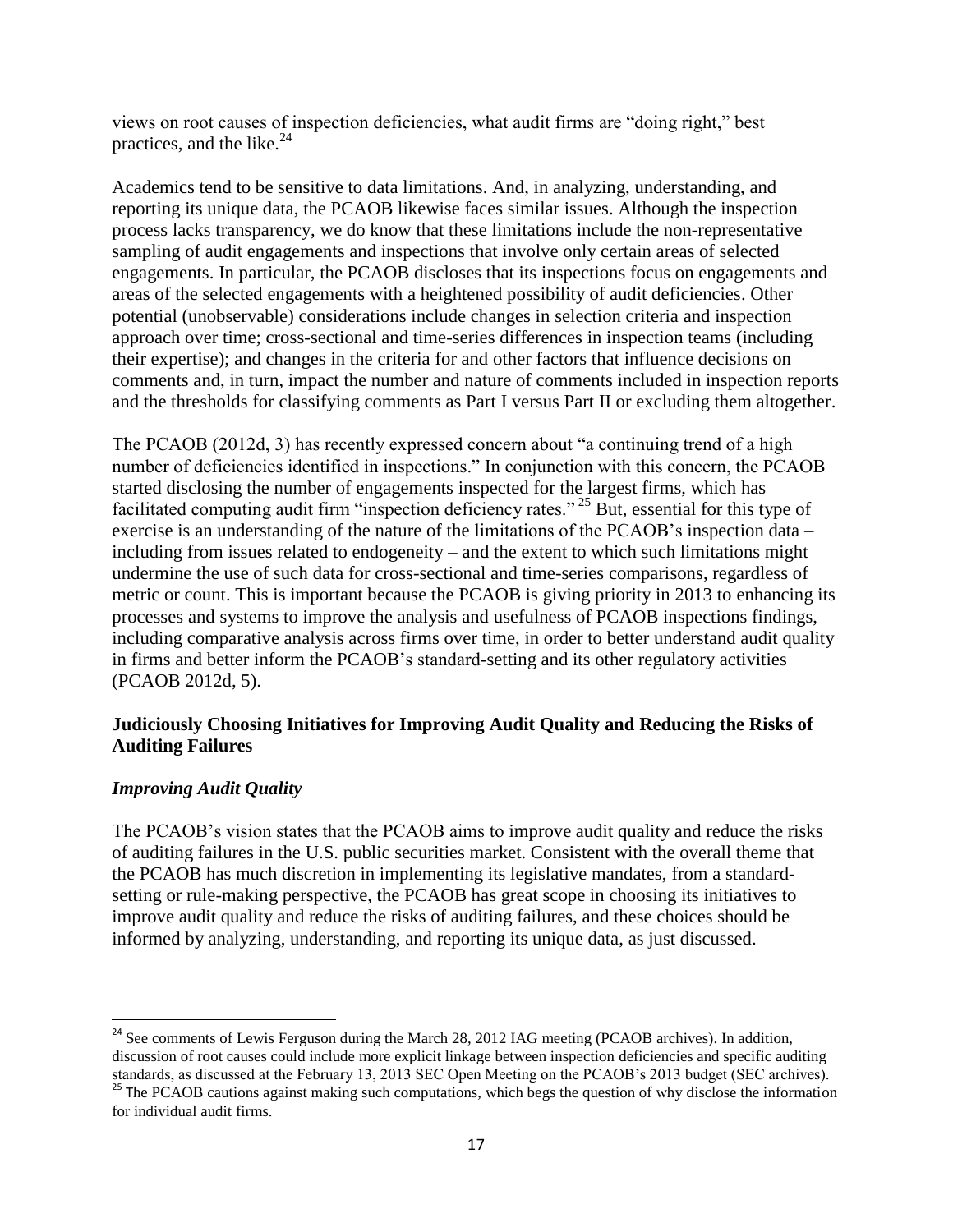views on root causes of inspection deficiencies, what audit firms are "doing right," best practices, and the like. $24$ 

Academics tend to be sensitive to data limitations. And, in analyzing, understanding, and reporting its unique data, the PCAOB likewise faces similar issues. Although the inspection process lacks transparency, we do know that these limitations include the non-representative sampling of audit engagements and inspections that involve only certain areas of selected engagements. In particular, the PCAOB discloses that its inspections focus on engagements and areas of the selected engagements with a heightened possibility of audit deficiencies. Other potential (unobservable) considerations include changes in selection criteria and inspection approach over time; cross-sectional and time-series differences in inspection teams (including their expertise); and changes in the criteria for and other factors that influence decisions on comments and, in turn, impact the number and nature of comments included in inspection reports and the thresholds for classifying comments as Part I versus Part II or excluding them altogether.

The PCAOB (2012d, 3) has recently expressed concern about "a continuing trend of a high number of deficiencies identified in inspections." In conjunction with this concern, the PCAOB started disclosing the number of engagements inspected for the largest firms, which has facilitated computing audit firm "inspection deficiency rates." <sup>25</sup> But, essential for this type of exercise is an understanding of the nature of the limitations of the PCAOB"s inspection data – including from issues related to endogeneity – and the extent to which such limitations might undermine the use of such data for cross-sectional and time-series comparisons, regardless of metric or count. This is important because the PCAOB is giving priority in 2013 to enhancing its processes and systems to improve the analysis and usefulness of PCAOB inspections findings, including comparative analysis across firms over time, in order to better understand audit quality in firms and better inform the PCAOB"s standard-setting and its other regulatory activities (PCAOB 2012d, 5).

## **Judiciously Choosing Initiatives for Improving Audit Quality and Reducing the Risks of Auditing Failures**

## *Improving Audit Quality*

The PCAOB"s vision states that the PCAOB aims to improve audit quality and reduce the risks of auditing failures in the U.S. public securities market. Consistent with the overall theme that the PCAOB has much discretion in implementing its legislative mandates, from a standardsetting or rule-making perspective, the PCAOB has great scope in choosing its initiatives to improve audit quality and reduce the risks of auditing failures, and these choices should be informed by analyzing, understanding, and reporting its unique data, as just discussed.

 $\overline{a}$ <sup>24</sup> See comments of Lewis Ferguson during the March 28, 2012 IAG meeting (PCAOB archives). In addition, discussion of root causes could include more explicit linkage between inspection deficiencies and specific auditing standards, as discussed at the February 13, 2013 SEC Open Meeting on the PCAOB"s 2013 budget (SEC archives).

<sup>&</sup>lt;sup>25</sup> The PCAOB cautions against making such computations, which begs the question of why disclose the information for individual audit firms.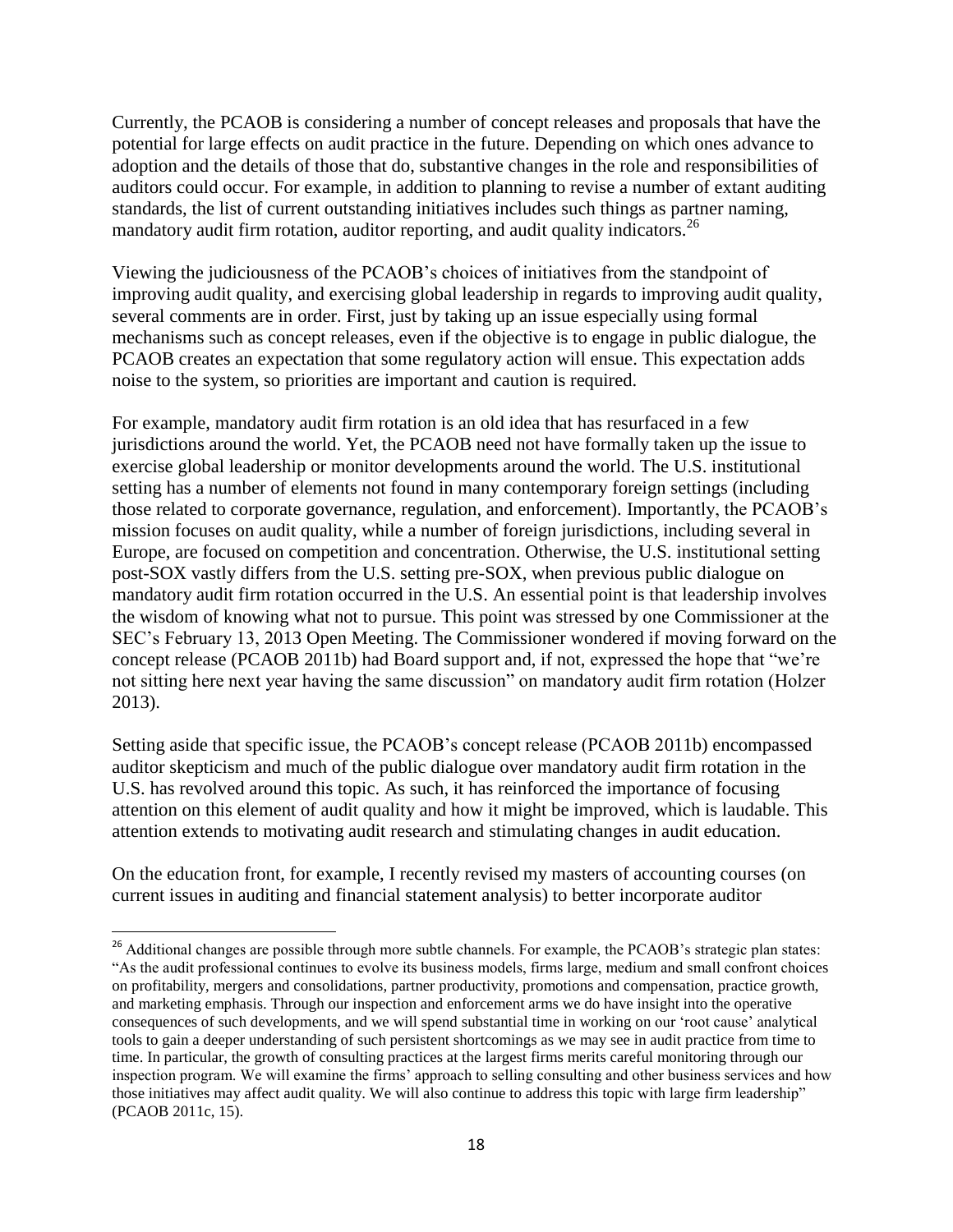Currently, the PCAOB is considering a number of concept releases and proposals that have the potential for large effects on audit practice in the future. Depending on which ones advance to adoption and the details of those that do, substantive changes in the role and responsibilities of auditors could occur. For example, in addition to planning to revise a number of extant auditing standards, the list of current outstanding initiatives includes such things as partner naming, mandatory audit firm rotation, auditor reporting, and audit quality indicators.<sup>26</sup>

Viewing the judiciousness of the PCAOB"s choices of initiatives from the standpoint of improving audit quality, and exercising global leadership in regards to improving audit quality, several comments are in order. First, just by taking up an issue especially using formal mechanisms such as concept releases, even if the objective is to engage in public dialogue, the PCAOB creates an expectation that some regulatory action will ensue. This expectation adds noise to the system, so priorities are important and caution is required.

For example, mandatory audit firm rotation is an old idea that has resurfaced in a few jurisdictions around the world. Yet, the PCAOB need not have formally taken up the issue to exercise global leadership or monitor developments around the world. The U.S. institutional setting has a number of elements not found in many contemporary foreign settings (including those related to corporate governance, regulation, and enforcement). Importantly, the PCAOB"s mission focuses on audit quality, while a number of foreign jurisdictions, including several in Europe, are focused on competition and concentration. Otherwise, the U.S. institutional setting post-SOX vastly differs from the U.S. setting pre-SOX, when previous public dialogue on mandatory audit firm rotation occurred in the U.S. An essential point is that leadership involves the wisdom of knowing what not to pursue. This point was stressed by one Commissioner at the SEC"s February 13, 2013 Open Meeting. The Commissioner wondered if moving forward on the concept release (PCAOB 2011b) had Board support and, if not, expressed the hope that "we"re not sitting here next year having the same discussion" on mandatory audit firm rotation (Holzer 2013).

Setting aside that specific issue, the PCAOB"s concept release (PCAOB 2011b) encompassed auditor skepticism and much of the public dialogue over mandatory audit firm rotation in the U.S. has revolved around this topic. As such, it has reinforced the importance of focusing attention on this element of audit quality and how it might be improved, which is laudable. This attention extends to motivating audit research and stimulating changes in audit education.

On the education front, for example, I recently revised my masters of accounting courses (on current issues in auditing and financial statement analysis) to better incorporate auditor

 $\overline{\phantom{a}}$ 

<sup>&</sup>lt;sup>26</sup> Additional changes are possible through more subtle channels. For example, the PCAOB's strategic plan states: "As the audit professional continues to evolve its business models, firms large, medium and small confront choices on profitability, mergers and consolidations, partner productivity, promotions and compensation, practice growth, and marketing emphasis. Through our inspection and enforcement arms we do have insight into the operative consequences of such developments, and we will spend substantial time in working on our "root cause" analytical tools to gain a deeper understanding of such persistent shortcomings as we may see in audit practice from time to time. In particular, the growth of consulting practices at the largest firms merits careful monitoring through our inspection program. We will examine the firms" approach to selling consulting and other business services and how those initiatives may affect audit quality. We will also continue to address this topic with large firm leadership" (PCAOB 2011c, 15).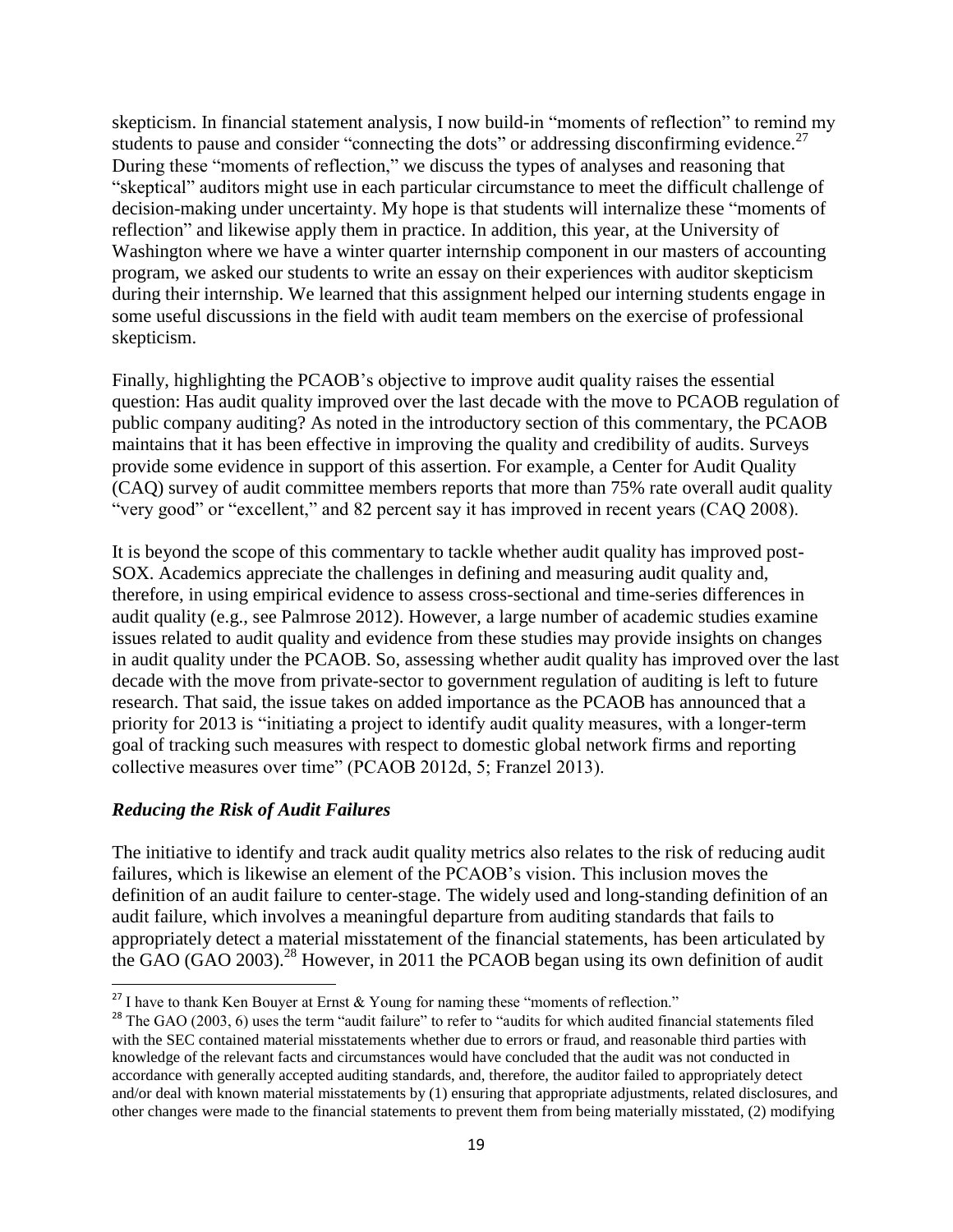skepticism. In financial statement analysis, I now build-in "moments of reflection" to remind my students to pause and consider "connecting the dots" or addressing disconfirming evidence.<sup>27</sup> During these "moments of reflection," we discuss the types of analyses and reasoning that "skeptical" auditors might use in each particular circumstance to meet the difficult challenge of decision-making under uncertainty. My hope is that students will internalize these "moments of reflection" and likewise apply them in practice. In addition, this year, at the University of Washington where we have a winter quarter internship component in our masters of accounting program, we asked our students to write an essay on their experiences with auditor skepticism during their internship. We learned that this assignment helped our interning students engage in some useful discussions in the field with audit team members on the exercise of professional skepticism.

Finally, highlighting the PCAOB's objective to improve audit quality raises the essential question: Has audit quality improved over the last decade with the move to PCAOB regulation of public company auditing? As noted in the introductory section of this commentary, the PCAOB maintains that it has been effective in improving the quality and credibility of audits. Surveys provide some evidence in support of this assertion. For example, a Center for Audit Quality (CAQ) survey of audit committee members reports that more than 75% rate overall audit quality "very good" or "excellent," and 82 percent say it has improved in recent years (CAQ 2008).

It is beyond the scope of this commentary to tackle whether audit quality has improved post-SOX. Academics appreciate the challenges in defining and measuring audit quality and, therefore, in using empirical evidence to assess cross-sectional and time-series differences in audit quality (e.g., see Palmrose 2012). However, a large number of academic studies examine issues related to audit quality and evidence from these studies may provide insights on changes in audit quality under the PCAOB. So, assessing whether audit quality has improved over the last decade with the move from private-sector to government regulation of auditing is left to future research. That said, the issue takes on added importance as the PCAOB has announced that a priority for 2013 is "initiating a project to identify audit quality measures, with a longer-term goal of tracking such measures with respect to domestic global network firms and reporting collective measures over time" (PCAOB 2012d, 5; Franzel 2013).

#### *Reducing the Risk of Audit Failures*

The initiative to identify and track audit quality metrics also relates to the risk of reducing audit failures, which is likewise an element of the PCAOB"s vision. This inclusion moves the definition of an audit failure to center-stage. The widely used and long-standing definition of an audit failure, which involves a meaningful departure from auditing standards that fails to appropriately detect a material misstatement of the financial statements, has been articulated by the GAO (GAO 2003).<sup>28</sup> However, in 2011 the PCAOB began using its own definition of audit

 $\overline{a}$ <sup>27</sup> I have to thank Ken Bouyer at Ernst  $\&$  Young for naming these "moments of reflection."

<sup>&</sup>lt;sup>28</sup> The GAO (2003, 6) uses the term "audit failure" to refer to "audits for which audited financial statements filed with the SEC contained material misstatements whether due to errors or fraud, and reasonable third parties with knowledge of the relevant facts and circumstances would have concluded that the audit was not conducted in accordance with generally accepted auditing standards, and, therefore, the auditor failed to appropriately detect and/or deal with known material misstatements by (1) ensuring that appropriate adjustments, related disclosures, and other changes were made to the financial statements to prevent them from being materially misstated, (2) modifying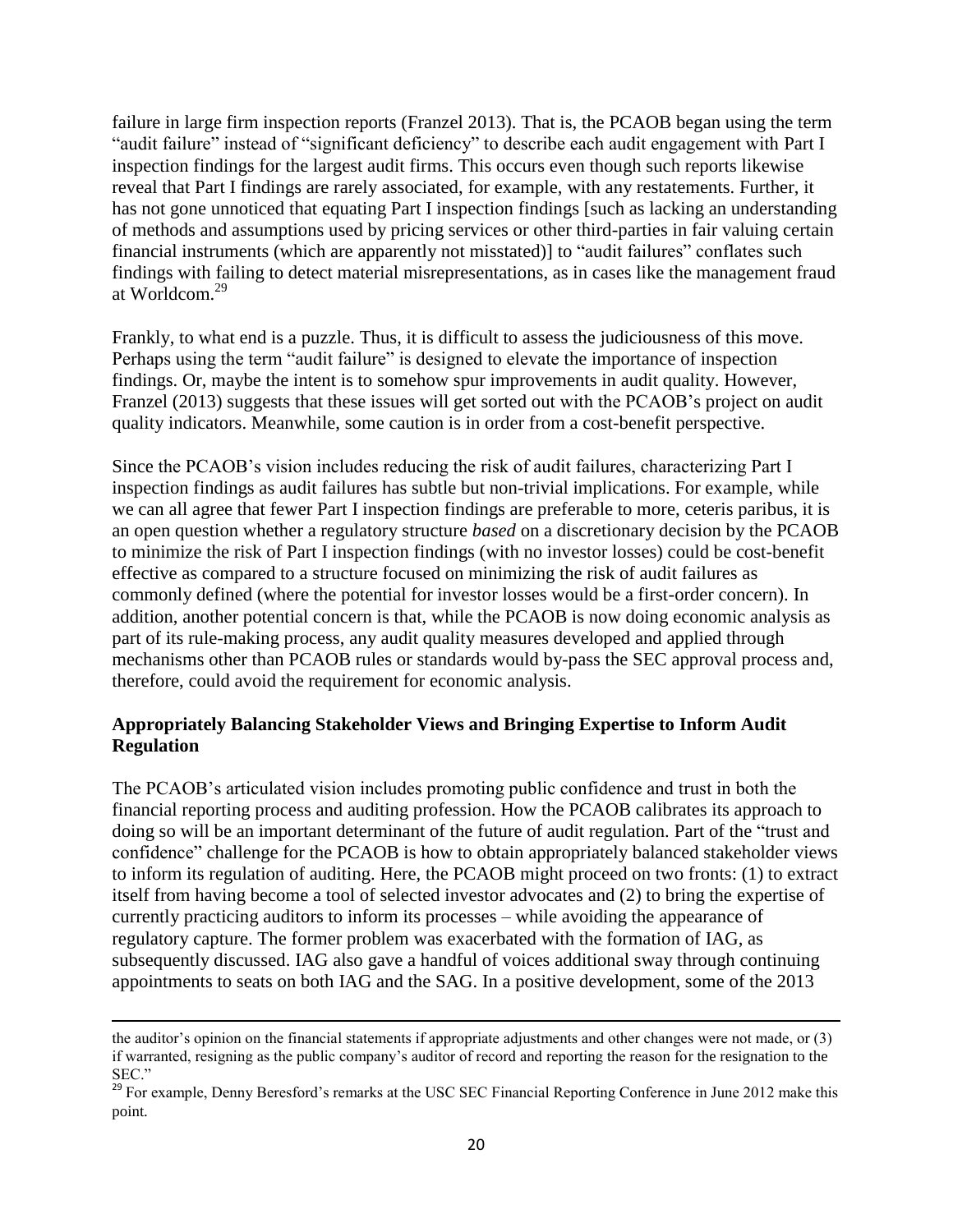failure in large firm inspection reports (Franzel 2013). That is, the PCAOB began using the term "audit failure" instead of "significant deficiency" to describe each audit engagement with Part I inspection findings for the largest audit firms. This occurs even though such reports likewise reveal that Part I findings are rarely associated, for example, with any restatements. Further, it has not gone unnoticed that equating Part I inspection findings [such as lacking an understanding of methods and assumptions used by pricing services or other third-parties in fair valuing certain financial instruments (which are apparently not misstated)] to "audit failures" conflates such findings with failing to detect material misrepresentations, as in cases like the management fraud at Worldcom.<sup>29</sup>

Frankly, to what end is a puzzle. Thus, it is difficult to assess the judiciousness of this move. Perhaps using the term "audit failure" is designed to elevate the importance of inspection findings. Or, maybe the intent is to somehow spur improvements in audit quality. However, Franzel (2013) suggests that these issues will get sorted out with the PCAOB's project on audit quality indicators. Meanwhile, some caution is in order from a cost-benefit perspective.

Since the PCAOB"s vision includes reducing the risk of audit failures, characterizing Part I inspection findings as audit failures has subtle but non-trivial implications. For example, while we can all agree that fewer Part I inspection findings are preferable to more, ceteris paribus, it is an open question whether a regulatory structure *based* on a discretionary decision by the PCAOB to minimize the risk of Part I inspection findings (with no investor losses) could be cost-benefit effective as compared to a structure focused on minimizing the risk of audit failures as commonly defined (where the potential for investor losses would be a first-order concern). In addition, another potential concern is that, while the PCAOB is now doing economic analysis as part of its rule-making process, any audit quality measures developed and applied through mechanisms other than PCAOB rules or standards would by-pass the SEC approval process and, therefore, could avoid the requirement for economic analysis.

## **Appropriately Balancing Stakeholder Views and Bringing Expertise to Inform Audit Regulation**

The PCAOB"s articulated vision includes promoting public confidence and trust in both the financial reporting process and auditing profession. How the PCAOB calibrates its approach to doing so will be an important determinant of the future of audit regulation. Part of the "trust and confidence" challenge for the PCAOB is how to obtain appropriately balanced stakeholder views to inform its regulation of auditing. Here, the PCAOB might proceed on two fronts: (1) to extract itself from having become a tool of selected investor advocates and (2) to bring the expertise of currently practicing auditors to inform its processes – while avoiding the appearance of regulatory capture. The former problem was exacerbated with the formation of IAG, as subsequently discussed. IAG also gave a handful of voices additional sway through continuing appointments to seats on both IAG and the SAG. In a positive development, some of the 2013

 $\overline{a}$ 

the auditor's opinion on the financial statements if appropriate adjustments and other changes were not made, or (3) if warranted, resigning as the public company"s auditor of record and reporting the reason for the resignation to the SEC."

<sup>&</sup>lt;sup>29</sup> For example, Denny Beresford's remarks at the USC SEC Financial Reporting Conference in June 2012 make this point.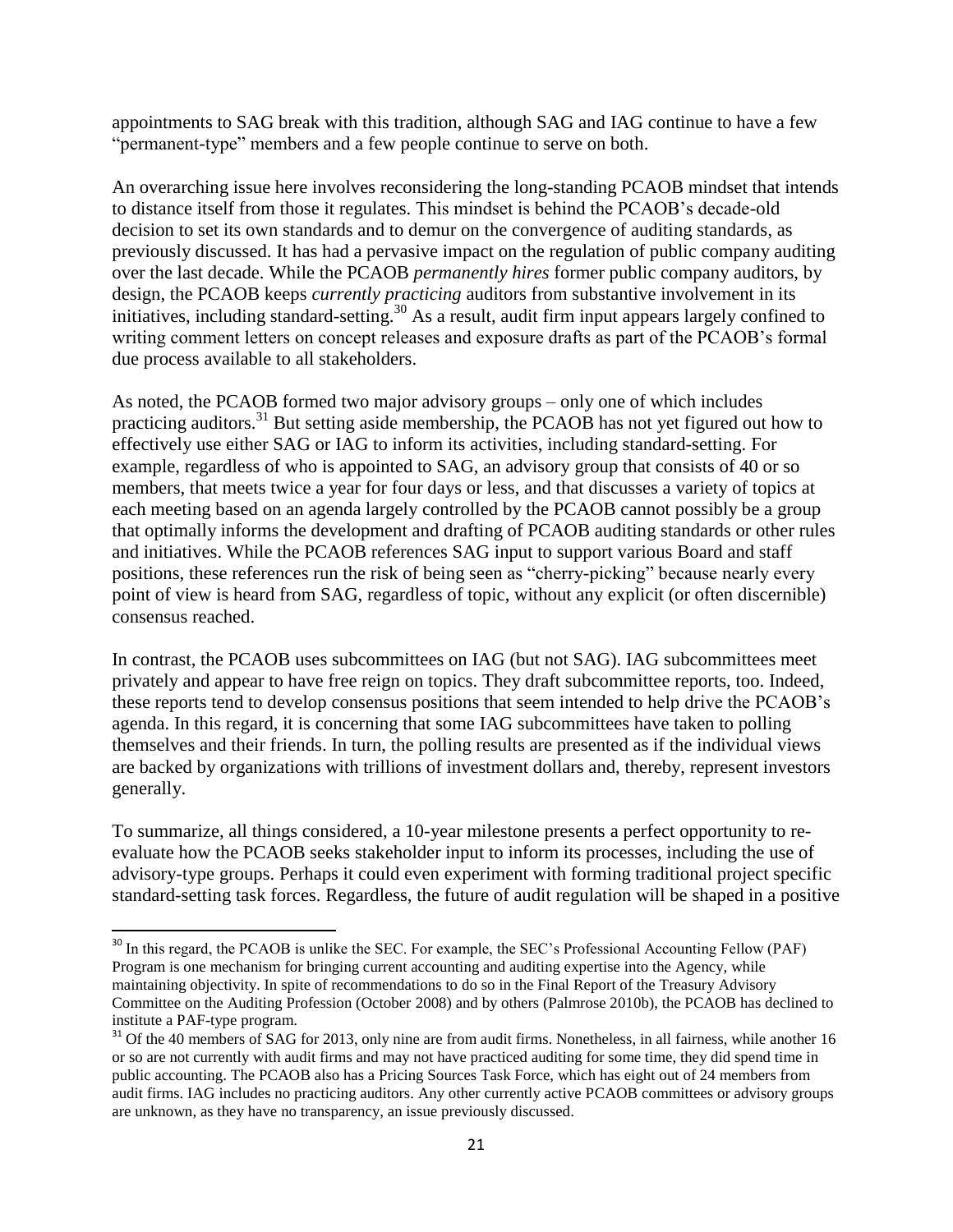appointments to SAG break with this tradition, although SAG and IAG continue to have a few "permanent-type" members and a few people continue to serve on both.

An overarching issue here involves reconsidering the long-standing PCAOB mindset that intends to distance itself from those it regulates. This mindset is behind the PCAOB"s decade-old decision to set its own standards and to demur on the convergence of auditing standards, as previously discussed. It has had a pervasive impact on the regulation of public company auditing over the last decade. While the PCAOB *permanently hires* former public company auditors, by design, the PCAOB keeps *currently practicing* auditors from substantive involvement in its initiatives, including standard-setting.<sup>30</sup> As a result, audit firm input appears largely confined to writing comment letters on concept releases and exposure drafts as part of the PCAOB"s formal due process available to all stakeholders.

As noted, the PCAOB formed two major advisory groups – only one of which includes practicing auditors.<sup>31</sup> But setting aside membership, the PCAOB has not yet figured out how to effectively use either SAG or IAG to inform its activities, including standard-setting. For example, regardless of who is appointed to SAG, an advisory group that consists of 40 or so members, that meets twice a year for four days or less, and that discusses a variety of topics at each meeting based on an agenda largely controlled by the PCAOB cannot possibly be a group that optimally informs the development and drafting of PCAOB auditing standards or other rules and initiatives. While the PCAOB references SAG input to support various Board and staff positions, these references run the risk of being seen as "cherry-picking" because nearly every point of view is heard from SAG, regardless of topic, without any explicit (or often discernible) consensus reached.

In contrast, the PCAOB uses subcommittees on IAG (but not SAG). IAG subcommittees meet privately and appear to have free reign on topics. They draft subcommittee reports, too. Indeed, these reports tend to develop consensus positions that seem intended to help drive the PCAOB"s agenda. In this regard, it is concerning that some IAG subcommittees have taken to polling themselves and their friends. In turn, the polling results are presented as if the individual views are backed by organizations with trillions of investment dollars and, thereby, represent investors generally.

To summarize, all things considered, a 10-year milestone presents a perfect opportunity to reevaluate how the PCAOB seeks stakeholder input to inform its processes, including the use of advisory-type groups. Perhaps it could even experiment with forming traditional project specific standard-setting task forces. Regardless, the future of audit regulation will be shaped in a positive

 $\overline{\phantom{a}}$ 

<sup>&</sup>lt;sup>30</sup> In this regard, the PCAOB is unlike the SEC. For example, the SEC's Professional Accounting Fellow (PAF) Program is one mechanism for bringing current accounting and auditing expertise into the Agency, while maintaining objectivity. In spite of recommendations to do so in the Final Report of the Treasury Advisory Committee on the Auditing Profession (October 2008) and by others (Palmrose 2010b), the PCAOB has declined to institute a PAF-type program.

<sup>&</sup>lt;sup>31</sup> Of the 40 members of SAG for 2013, only nine are from audit firms. Nonetheless, in all fairness, while another 16 or so are not currently with audit firms and may not have practiced auditing for some time, they did spend time in public accounting. The PCAOB also has a Pricing Sources Task Force, which has eight out of 24 members from audit firms. IAG includes no practicing auditors. Any other currently active PCAOB committees or advisory groups are unknown, as they have no transparency, an issue previously discussed.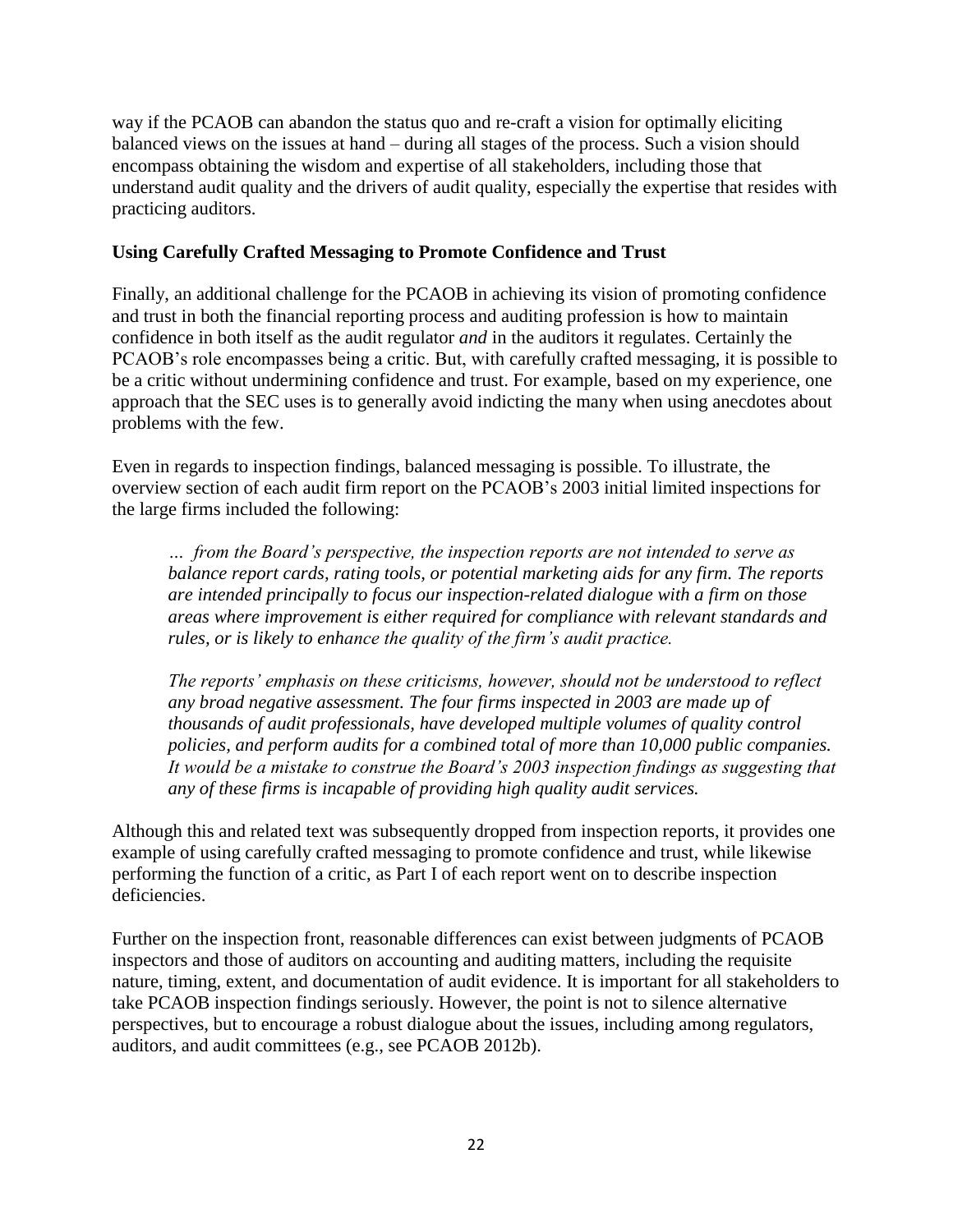way if the PCAOB can abandon the status quo and re-craft a vision for optimally eliciting balanced views on the issues at hand – during all stages of the process. Such a vision should encompass obtaining the wisdom and expertise of all stakeholders, including those that understand audit quality and the drivers of audit quality, especially the expertise that resides with practicing auditors.

## **Using Carefully Crafted Messaging to Promote Confidence and Trust**

Finally, an additional challenge for the PCAOB in achieving its vision of promoting confidence and trust in both the financial reporting process and auditing profession is how to maintain confidence in both itself as the audit regulator *and* in the auditors it regulates. Certainly the PCAOB"s role encompasses being a critic. But, with carefully crafted messaging, it is possible to be a critic without undermining confidence and trust. For example, based on my experience, one approach that the SEC uses is to generally avoid indicting the many when using anecdotes about problems with the few.

Even in regards to inspection findings, balanced messaging is possible. To illustrate, the overview section of each audit firm report on the PCAOB"s 2003 initial limited inspections for the large firms included the following:

*… from the Board's perspective, the inspection reports are not intended to serve as balance report cards, rating tools, or potential marketing aids for any firm. The reports are intended principally to focus our inspection-related dialogue with a firm on those areas where improvement is either required for compliance with relevant standards and rules, or is likely to enhance the quality of the firm's audit practice.*

*The reports' emphasis on these criticisms, however, should not be understood to reflect any broad negative assessment. The four firms inspected in 2003 are made up of thousands of audit professionals, have developed multiple volumes of quality control policies, and perform audits for a combined total of more than 10,000 public companies. It would be a mistake to construe the Board's 2003 inspection findings as suggesting that any of these firms is incapable of providing high quality audit services.*

Although this and related text was subsequently dropped from inspection reports, it provides one example of using carefully crafted messaging to promote confidence and trust, while likewise performing the function of a critic, as Part I of each report went on to describe inspection deficiencies.

Further on the inspection front, reasonable differences can exist between judgments of PCAOB inspectors and those of auditors on accounting and auditing matters, including the requisite nature, timing, extent, and documentation of audit evidence. It is important for all stakeholders to take PCAOB inspection findings seriously. However, the point is not to silence alternative perspectives, but to encourage a robust dialogue about the issues, including among regulators, auditors, and audit committees (e.g., see PCAOB 2012b).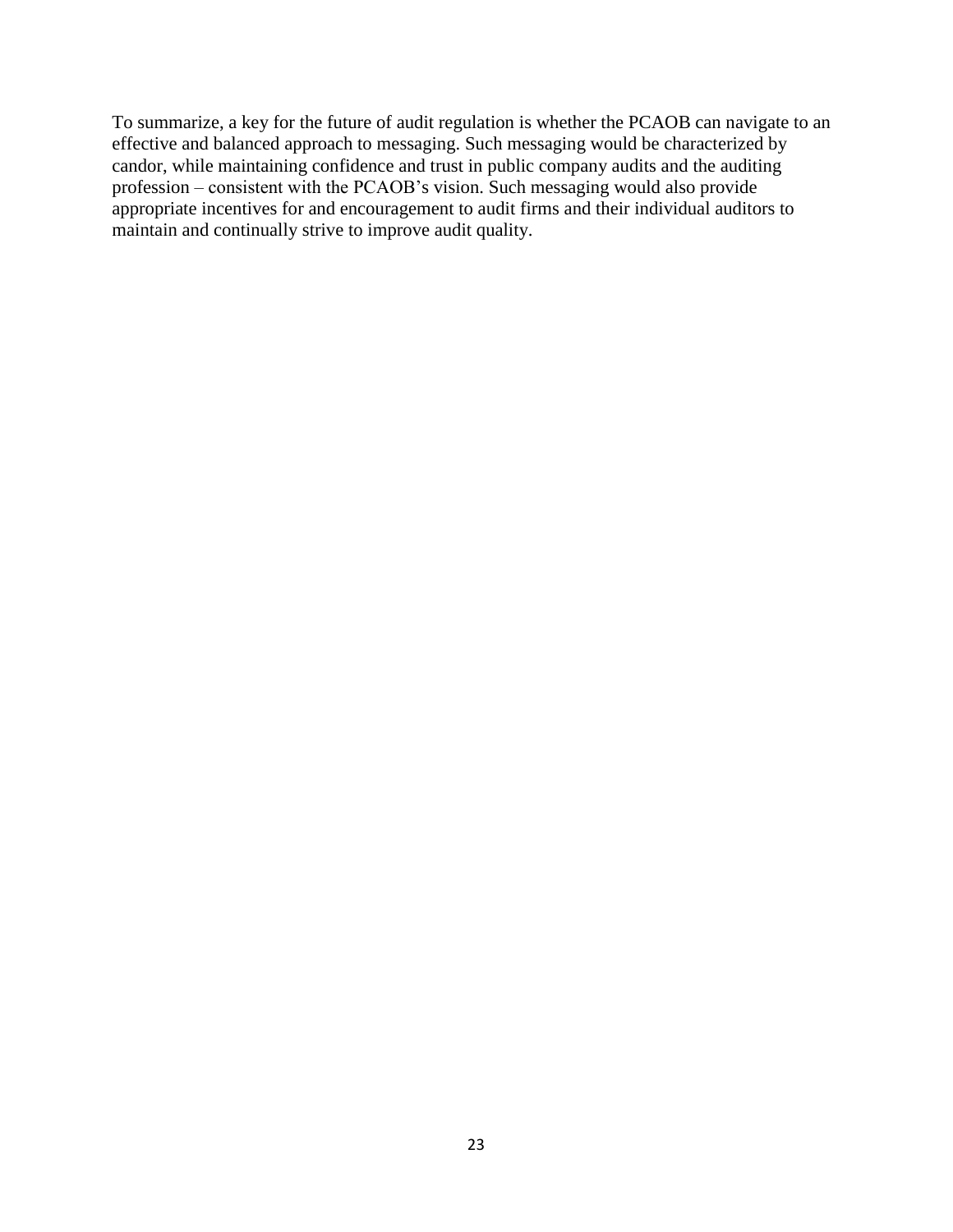To summarize, a key for the future of audit regulation is whether the PCAOB can navigate to an effective and balanced approach to messaging. Such messaging would be characterized by candor, while maintaining confidence and trust in public company audits and the auditing profession – consistent with the PCAOB"s vision. Such messaging would also provide appropriate incentives for and encouragement to audit firms and their individual auditors to maintain and continually strive to improve audit quality.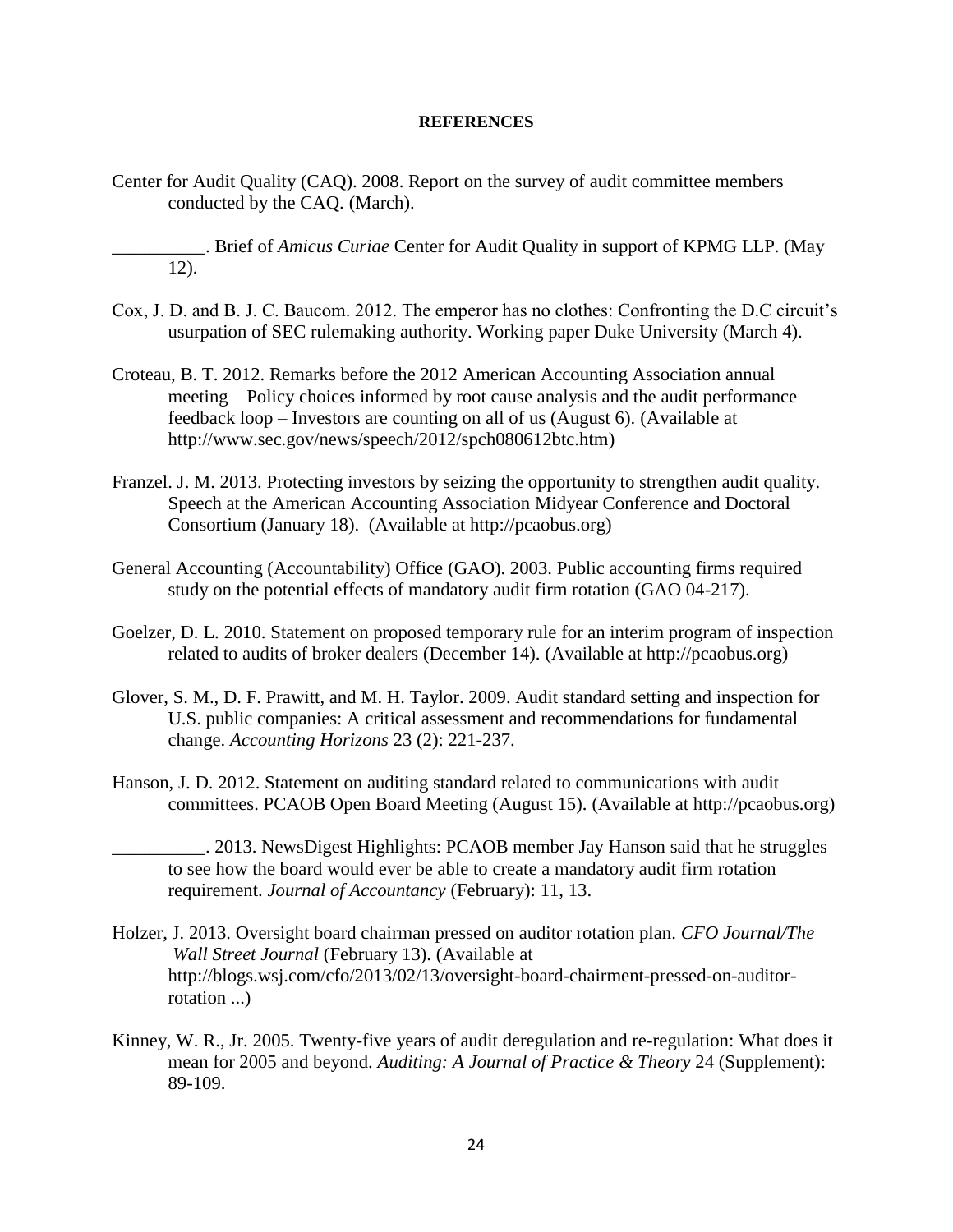#### **REFERENCES**

Center for Audit Quality (CAQ). 2008. Report on the survey of audit committee members conducted by the CAQ. (March).

\_\_\_\_\_\_\_\_\_\_. Brief of *Amicus Curiae* Center for Audit Quality in support of KPMG LLP. (May 12).

- Cox, J. D. and B. J. C. Baucom. 2012. The emperor has no clothes: Confronting the D.C circuit"s usurpation of SEC rulemaking authority. Working paper Duke University (March 4).
- Croteau, B. T. 2012. Remarks before the 2012 American Accounting Association annual meeting – Policy choices informed by root cause analysis and the audit performance feedback loop – Investors are counting on all of us (August 6). (Available at http://www.sec.gov/news/speech/2012/spch080612btc.htm)
- Franzel. J. M. 2013. Protecting investors by seizing the opportunity to strengthen audit quality. Speech at the American Accounting Association Midyear Conference and Doctoral Consortium (January 18). (Available at http://pcaobus.org)
- General Accounting (Accountability) Office (GAO). 2003. Public accounting firms required study on the potential effects of mandatory audit firm rotation (GAO 04-217).
- Goelzer, D. L. 2010. Statement on proposed temporary rule for an interim program of inspection related to audits of broker dealers (December 14). (Available at http://pcaobus.org)
- Glover, S. M., D. F. Prawitt, and M. H. Taylor. 2009. Audit standard setting and inspection for U.S. public companies: A critical assessment and recommendations for fundamental change. *Accounting Horizons* 23 (2): 221-237.
- Hanson, J. D. 2012. Statement on auditing standard related to communications with audit committees. PCAOB Open Board Meeting (August 15). (Available at http://pcaobus.org)

\_\_\_\_\_\_\_\_\_\_. 2013. NewsDigest Highlights: PCAOB member Jay Hanson said that he struggles to see how the board would ever be able to create a mandatory audit firm rotation requirement. *Journal of Accountancy* (February): 11, 13.

- Holzer, J. 2013. Oversight board chairman pressed on auditor rotation plan. *CFO Journal/The Wall Street Journal* (February 13). (Available at http://blogs.wsj.com/cfo/2013/02/13/oversight-board-chairment-pressed-on-auditorrotation ...)
- Kinney, W. R., Jr. 2005. Twenty-five years of audit deregulation and re-regulation: What does it mean for 2005 and beyond. *Auditing: A Journal of Practice & Theory* 24 (Supplement): 89-109.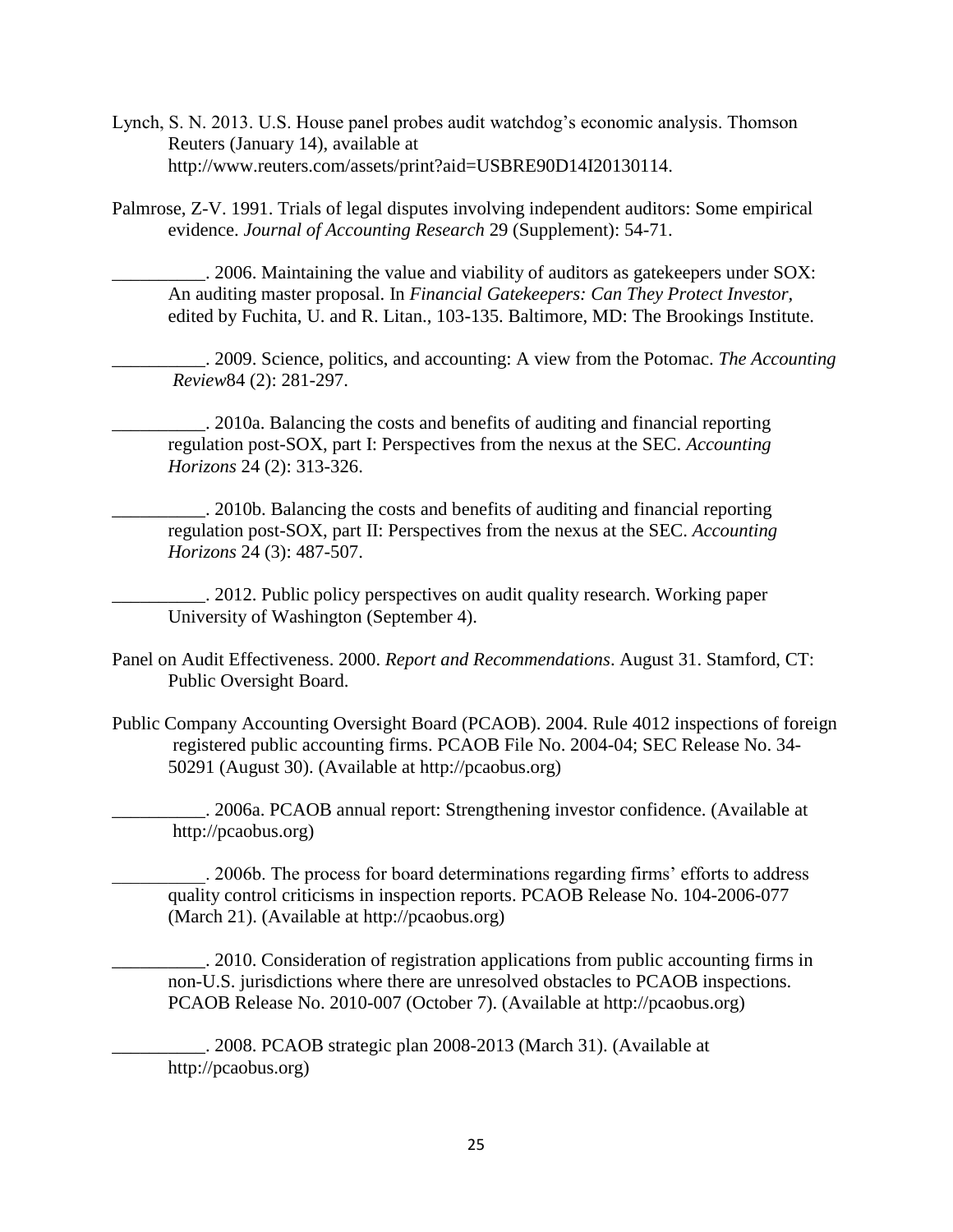- Lynch, S. N. 2013. U.S. House panel probes audit watchdog"s economic analysis. Thomson Reuters (January 14), available at http://www.reuters.com/assets/print?aid=USBRE90D14I20130114.
- Palmrose, Z-V. 1991. Trials of legal disputes involving independent auditors: Some empirical evidence. *Journal of Accounting Research* 29 (Supplement): 54-71.

\_\_\_\_\_\_\_\_\_\_. 2006. Maintaining the value and viability of auditors as gatekeepers under SOX: An auditing master proposal. In *Financial Gatekeepers: Can They Protect Investor,*  edited by Fuchita, U. and R. Litan., 103-135. Baltimore, MD: The Brookings Institute.

\_\_\_\_\_\_\_\_\_\_. 2009. Science, politics, and accounting: A view from the Potomac. *The Accounting Review*84 (2): 281-297.

. 2010a. Balancing the costs and benefits of auditing and financial reporting regulation post-SOX, part I: Perspectives from the nexus at the SEC. *Accounting Horizons* 24 (2): 313-326.

\_\_\_\_\_\_\_\_\_\_. 2010b. Balancing the costs and benefits of auditing and financial reporting regulation post-SOX, part II: Perspectives from the nexus at the SEC. *Accounting Horizons* 24 (3): 487-507.

\_\_\_\_\_\_\_\_\_\_. 2012. Public policy perspectives on audit quality research. Working paper University of Washington (September 4).

- Panel on Audit Effectiveness. 2000. *Report and Recommendations*. August 31. Stamford, CT: Public Oversight Board.
- Public Company Accounting Oversight Board (PCAOB). 2004. Rule 4012 inspections of foreign registered public accounting firms. PCAOB File No. 2004-04; SEC Release No. 34- 50291 (August 30). (Available at http://pcaobus.org)

\_\_\_\_\_\_\_\_\_\_. 2006a. PCAOB annual report: Strengthening investor confidence. (Available at http://pcaobus.org)

\_\_\_\_\_\_\_\_\_\_. 2006b. The process for board determinations regarding firms" efforts to address quality control criticisms in inspection reports. PCAOB Release No. 104-2006-077 (March 21). (Available at http://pcaobus.org)

\_\_\_\_\_\_\_\_\_\_. 2010. Consideration of registration applications from public accounting firms in non-U.S. jurisdictions where there are unresolved obstacles to PCAOB inspections. PCAOB Release No. 2010-007 (October 7). (Available at http://pcaobus.org)

\_\_\_\_\_\_\_\_\_\_. 2008. PCAOB strategic plan 2008-2013 (March 31). (Available at http://pcaobus.org)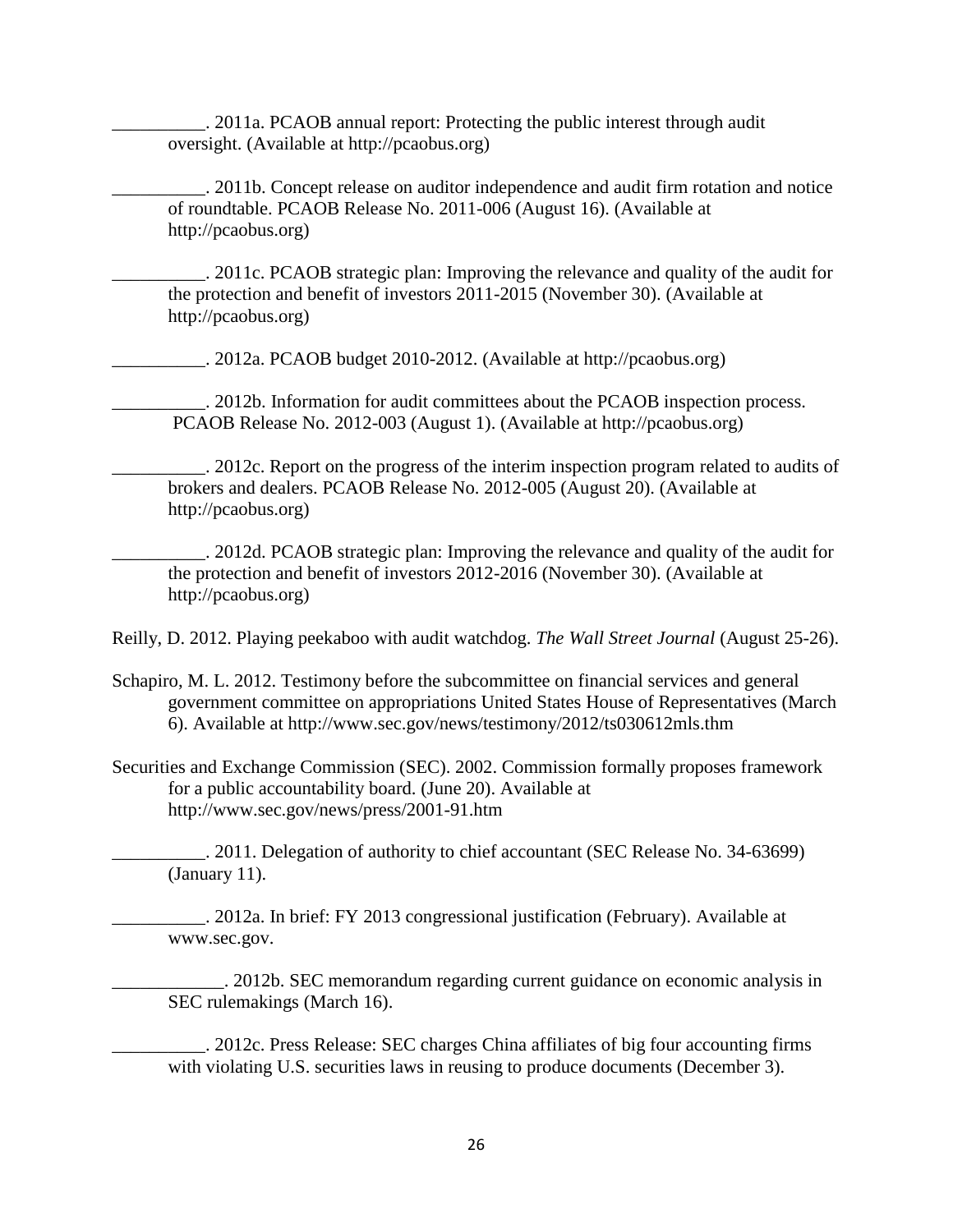\_\_\_\_\_\_\_\_\_\_. 2011a. PCAOB annual report: Protecting the public interest through audit oversight. (Available at http://pcaobus.org)

\_\_\_\_\_\_\_\_\_\_. 2011b. Concept release on auditor independence and audit firm rotation and notice of roundtable. PCAOB Release No. 2011-006 (August 16). (Available at http://pcaobus.org)

\_\_\_\_\_\_\_\_\_\_. 2011c. PCAOB strategic plan: Improving the relevance and quality of the audit for the protection and benefit of investors 2011-2015 (November 30). (Available at http://pcaobus.org)

\_\_\_\_\_\_\_\_\_\_. 2012a. PCAOB budget 2010-2012. (Available at http://pcaobus.org)

\_\_\_\_\_\_\_\_\_\_. 2012b. Information for audit committees about the PCAOB inspection process. PCAOB Release No. 2012-003 (August 1). (Available at http://pcaobus.org)

\_\_\_\_\_\_\_\_\_\_. 2012c. Report on the progress of the interim inspection program related to audits of brokers and dealers. PCAOB Release No. 2012-005 (August 20). (Available at http://pcaobus.org)

\_\_\_\_\_\_\_\_\_\_. 2012d. PCAOB strategic plan: Improving the relevance and quality of the audit for the protection and benefit of investors 2012-2016 (November 30). (Available at http://pcaobus.org)

Reilly, D. 2012. Playing peekaboo with audit watchdog. *The Wall Street Journal* (August 25-26).

- Schapiro, M. L. 2012. Testimony before the subcommittee on financial services and general government committee on appropriations United States House of Representatives (March 6). Available at http://www.sec.gov/news/testimony/2012/ts030612mls.thm
- Securities and Exchange Commission (SEC). 2002. Commission formally proposes framework for a public accountability board. (June 20). Available at http://www.sec.gov/news/press/2001-91.htm

\_\_\_\_\_\_\_\_\_\_. 2011. Delegation of authority to chief accountant (SEC Release No. 34-63699) (January 11).

\_\_\_\_\_\_\_\_\_\_. 2012a. In brief: FY 2013 congressional justification (February). Available at www.sec.gov.

\_\_\_\_\_\_\_\_\_\_\_\_. 2012b. SEC memorandum regarding current guidance on economic analysis in SEC rulemakings (March 16).

\_\_\_\_\_\_\_\_\_\_. 2012c. Press Release: SEC charges China affiliates of big four accounting firms with violating U.S. securities laws in reusing to produce documents (December 3).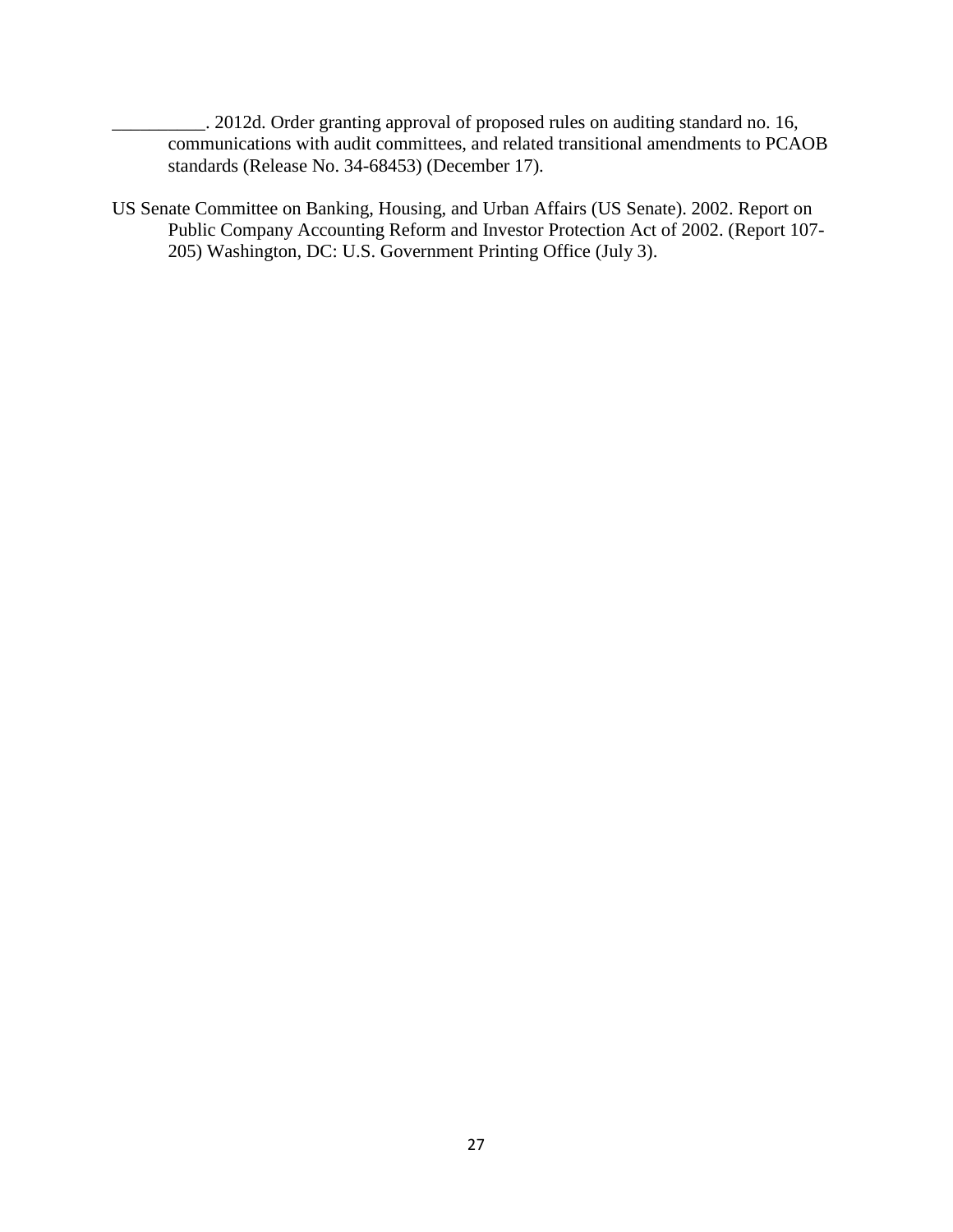\_\_\_\_\_\_\_\_\_\_. 2012d. Order granting approval of proposed rules on auditing standard no. 16, communications with audit committees, and related transitional amendments to PCAOB standards (Release No. 34-68453) (December 17).

US Senate Committee on Banking, Housing, and Urban Affairs (US Senate). 2002. Report on Public Company Accounting Reform and Investor Protection Act of 2002. (Report 107- 205) Washington, DC: U.S. Government Printing Office (July 3).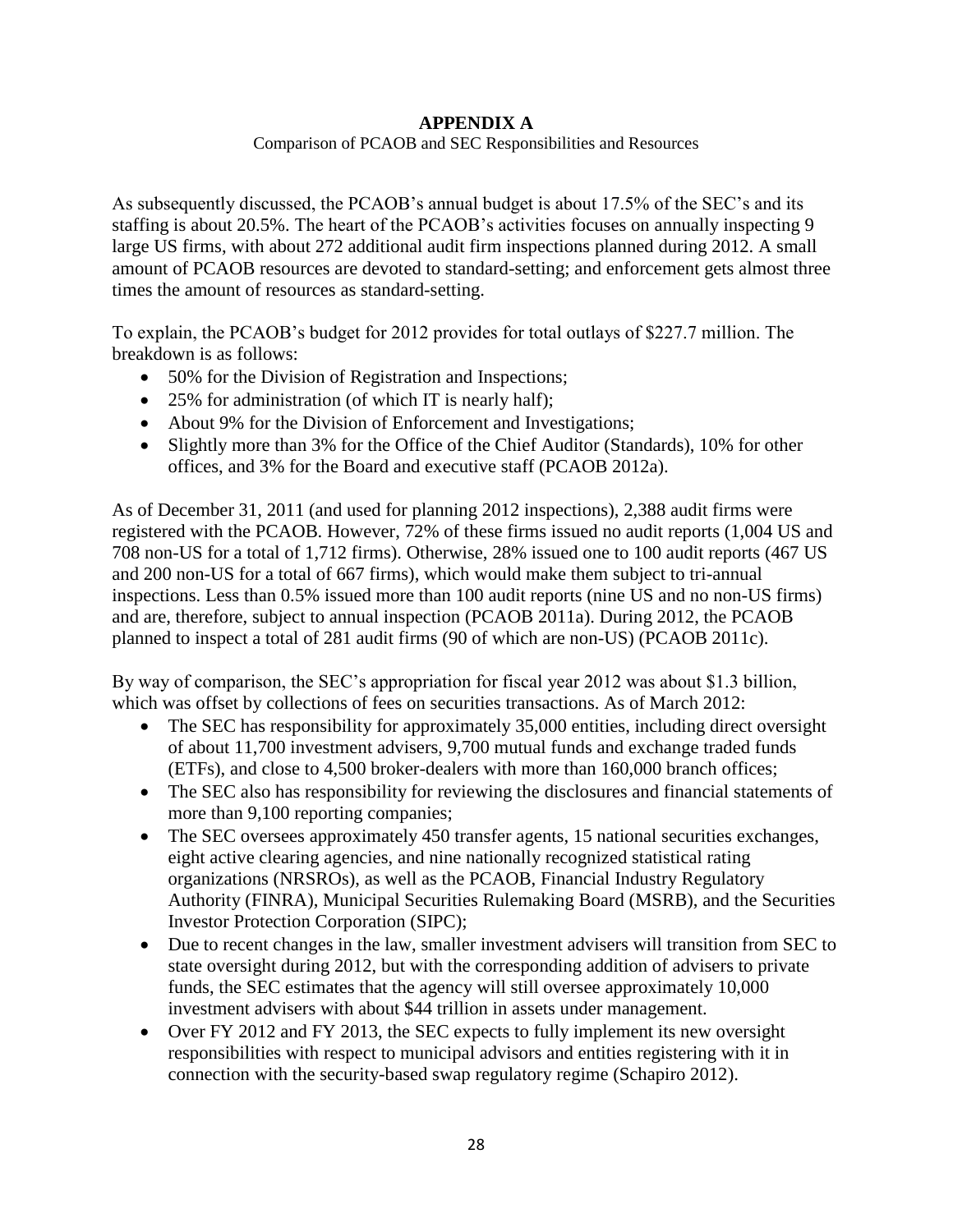## **APPENDIX A**

Comparison of PCAOB and SEC Responsibilities and Resources

As subsequently discussed, the PCAOB's annual budget is about 17.5% of the SEC's and its staffing is about 20.5%. The heart of the PCAOB"s activities focuses on annually inspecting 9 large US firms, with about 272 additional audit firm inspections planned during 2012. A small amount of PCAOB resources are devoted to standard-setting; and enforcement gets almost three times the amount of resources as standard-setting.

To explain, the PCAOB"s budget for 2012 provides for total outlays of \$227.7 million. The breakdown is as follows:

- 50% for the Division of Registration and Inspections;
- 25% for administration (of which IT is nearly half);
- About 9% for the Division of Enforcement and Investigations;
- Slightly more than 3% for the Office of the Chief Auditor (Standards), 10% for other offices, and 3% for the Board and executive staff (PCAOB 2012a).

As of December 31, 2011 (and used for planning 2012 inspections), 2,388 audit firms were registered with the PCAOB. However, 72% of these firms issued no audit reports (1,004 US and 708 non-US for a total of 1,712 firms). Otherwise, 28% issued one to 100 audit reports (467 US and 200 non-US for a total of 667 firms), which would make them subject to tri-annual inspections. Less than 0.5% issued more than 100 audit reports (nine US and no non-US firms) and are, therefore, subject to annual inspection (PCAOB 2011a). During 2012, the PCAOB planned to inspect a total of 281 audit firms (90 of which are non-US) (PCAOB 2011c).

By way of comparison, the SEC"s appropriation for fiscal year 2012 was about \$1.3 billion, which was offset by collections of fees on securities transactions. As of March 2012:

- The SEC has responsibility for approximately 35,000 entities, including direct oversight of about 11,700 investment advisers, 9,700 mutual funds and exchange traded funds (ETFs), and close to 4,500 broker-dealers with more than 160,000 branch offices;
- The SEC also has responsibility for reviewing the disclosures and financial statements of more than 9,100 reporting companies;
- The SEC oversees approximately 450 transfer agents, 15 national securities exchanges, eight active clearing agencies, and nine nationally recognized statistical rating organizations (NRSROs), as well as the PCAOB, Financial Industry Regulatory Authority (FINRA), Municipal Securities Rulemaking Board (MSRB), and the Securities Investor Protection Corporation (SIPC);
- Due to recent changes in the law, smaller investment advisers will transition from SEC to state oversight during 2012, but with the corresponding addition of advisers to private funds, the SEC estimates that the agency will still oversee approximately 10,000 investment advisers with about \$44 trillion in assets under management.
- Over FY 2012 and FY 2013, the SEC expects to fully implement its new oversight responsibilities with respect to municipal advisors and entities registering with it in connection with the security-based swap regulatory regime (Schapiro 2012).